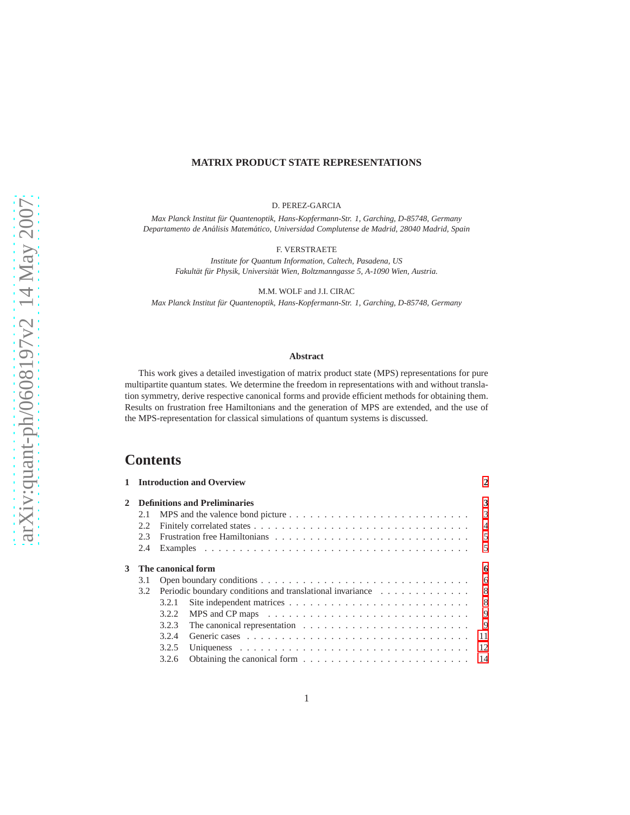#### **MATRIX PRODUCT STATE REPRESENTATIONS**

D. PEREZ-GARCIA

Max Planck Institut für Quantenoptik, Hans-Kopfermann-Str. 1, Garching, D-85748, Germany *Departamento de An´alisis Matem´atico, Universidad Complutense de Madrid, 28040 Madrid, Spain*

F. VERSTRAETE

*Institute for Quantum Information, Caltech, Pasadena, US Fakult¨at f¨ur Physik, Universit¨at Wien, Boltzmanngasse 5, A-1090 Wien, Austria.*

M.M. WOLF and J.I. CIRAC

Max Planck Institut für Quantenoptik, Hans-Kopfermann-Str. 1, Garching, D-85748, Germany

#### **Abstract**

This work gives a detailed investigation of matrix product state (MPS) representations for pure multipartite quantum states. We determine the freedom in representations with and without translation symmetry, derive respective canonical forms and provide efficient methods for obtaining them. Results on frustration free Hamiltonians and the generation of MPS are extended, and the use of the MPS-representation for classical simulations of quantum systems is discussed.

# **Contents**

|   |     |       | 1 Introduction and Overview                                                                          | $\mathbf{2}$   |
|---|-----|-------|------------------------------------------------------------------------------------------------------|----------------|
| 2 |     |       | <b>Definitions and Preliminaries</b>                                                                 | 3              |
|   | 2.1 |       | MPS and the valence bond picture $\dots \dots \dots \dots \dots \dots \dots \dots \dots \dots \dots$ | 3              |
|   | 2.2 |       |                                                                                                      | $\overline{4}$ |
|   | 2.3 |       |                                                                                                      | 5              |
|   | 2.4 |       |                                                                                                      | $\overline{5}$ |
| 3 |     |       | The canonical form                                                                                   | 6              |
|   | 3.1 |       |                                                                                                      | 6              |
|   | 3.2 |       | Periodic boundary conditions and translational invariance                                            | -8             |
|   |     | 3.2.1 |                                                                                                      | -8             |
|   |     | 3.2.2 | MPS and CP maps $\dots \dots \dots \dots \dots \dots \dots \dots \dots \dots \dots \dots$            | 9              |
|   |     | 3.2.3 |                                                                                                      | 9              |
|   |     | 3.2.4 |                                                                                                      | 11             |
|   |     | 3.2.5 |                                                                                                      | 12             |
|   |     | 3.2.6 |                                                                                                      | 14             |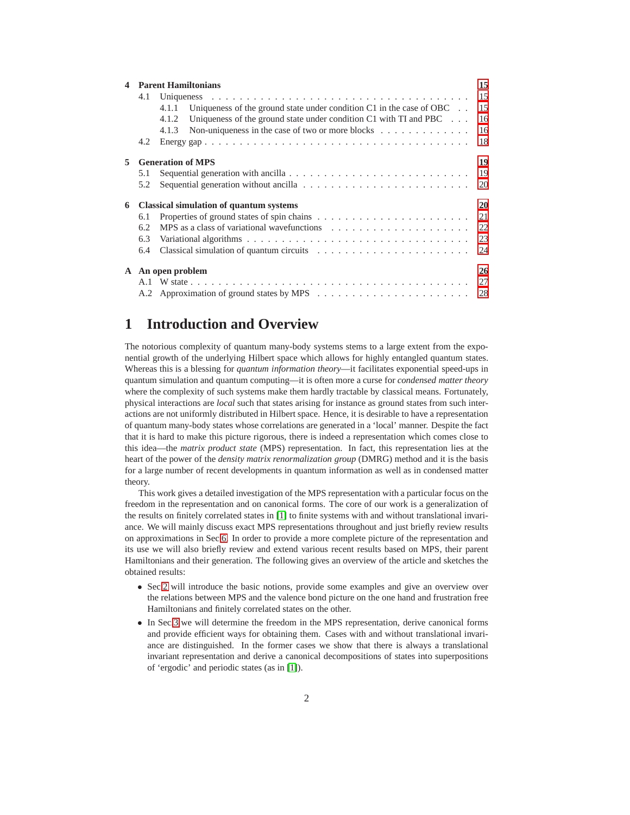|    | <b>Parent Hamiltonians</b> |                                                                                          |    |  |  |  |  |
|----|----------------------------|------------------------------------------------------------------------------------------|----|--|--|--|--|
|    | 4.1                        |                                                                                          |    |  |  |  |  |
|    |                            | Uniqueness of the ground state under condition $C1$ in the case of OBC $\ldots$<br>4.1.1 | 15 |  |  |  |  |
|    |                            | Uniqueness of the ground state under condition $C1$ with TI and PBC $\ldots$<br>4.1.2    | 16 |  |  |  |  |
|    |                            | Non-uniqueness in the case of two or more blocks $\dots \dots \dots \dots$<br>4.1.3      | 16 |  |  |  |  |
|    | 4.2                        |                                                                                          | 18 |  |  |  |  |
| 5. |                            | <b>Generation of MPS</b>                                                                 | 19 |  |  |  |  |
|    | 5.1                        |                                                                                          | 19 |  |  |  |  |
|    | 5.2                        |                                                                                          | 20 |  |  |  |  |
| 6  |                            | <b>Classical simulation of quantum systems</b>                                           | 20 |  |  |  |  |
|    | 6.1                        |                                                                                          |    |  |  |  |  |
|    | 6.2                        |                                                                                          | 22 |  |  |  |  |
|    | 6.3                        |                                                                                          |    |  |  |  |  |
|    | 6.4                        |                                                                                          | 24 |  |  |  |  |
|    | A An open problem          |                                                                                          |    |  |  |  |  |
|    |                            |                                                                                          |    |  |  |  |  |
|    |                            |                                                                                          |    |  |  |  |  |

# <span id="page-1-0"></span>**1 Introduction and Overview**

The notorious complexity of quantum many-body systems stems to a large extent from the exponential growth of the underlying Hilbert space which allows for highly entangled quantum states. Whereas this is a blessing for *quantum information theory*—it facilitates exponential speed-ups in quantum simulation and quantum computing—it is often more a curse for *condensed matter theory* where the complexity of such systems make them hardly tractable by classical means. Fortunately, physical interactions are *local* such that states arising for instance as ground states from such interactions are not uniformly distributed in Hilbert space. Hence, it is desirable to have a representation of quantum many-body states whose correlations are generated in a 'local' manner. Despite the fact that it is hard to make this picture rigorous, there is indeed a representation which comes close to this idea—the *matrix product state* (MPS) representation. In fact, this representation lies at the heart of the power of the *density matrix renormalization group* (DMRG) method and it is the basis for a large number of recent developments in quantum information as well as in condensed matter theory.

This work gives a detailed investigation of the MPS representation with a particular focus on the freedom in the representation and on canonical forms. The core of our work is a generalization of the results on finitely correlated states in [\[1\]](#page-24-0) to finite systems with and without translational invariance. We will mainly discuss exact MPS representations throughout and just briefly review results on approximations in Sec[.6.](#page-19-1) In order to provide a more complete picture of the representation and its use we will also briefly review and extend various recent results based on MPS, their parent Hamiltonians and their generation. The following gives an overview of the article and sketches the obtained results:

- Sec[.2](#page-2-0) will introduce the basic notions, provide some examples and give an overview over the relations between MPS and the valence bond picture on the one hand and frustration free Hamiltonians and finitely correlated states on the other.
- In Sec[.3](#page-5-0) we will determine the freedom in the MPS representation, derive canonical forms and provide efficient ways for obtaining them. Cases with and without translational invariance are distinguished. In the former cases we show that there is always a translational invariant representation and derive a canonical decompositions of states into superpositions of 'ergodic' and periodic states (as in [\[1\]](#page-24-0)).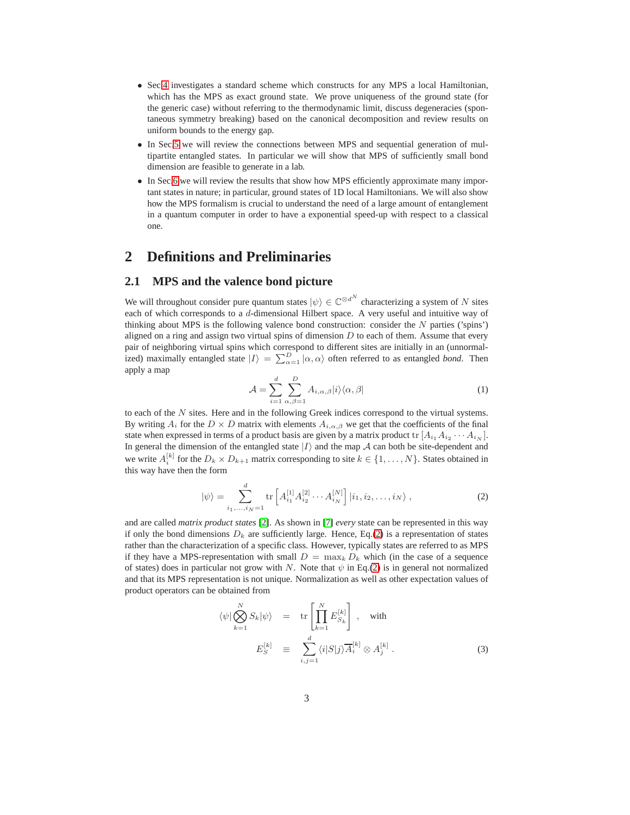- Sec[.4](#page-14-0) investigates a standard scheme which constructs for any MPS a local Hamiltonian, which has the MPS as exact ground state. We prove uniqueness of the ground state (for the generic case) without referring to the thermodynamic limit, discuss degeneracies (spontaneous symmetry breaking) based on the canonical decomposition and review results on uniform bounds to the energy gap.
- In Sec[.5](#page-18-0) we will review the connections between MPS and sequential generation of multipartite entangled states. In particular we will show that MPS of sufficiently small bond dimension are feasible to generate in a lab.
- In Sec[.6](#page-19-1) we will review the results that show how MPS efficiently approximate many important states in nature; in particular, ground states of 1D local Hamiltonians. We will also show how the MPS formalism is crucial to understand the need of a large amount of entanglement in a quantum computer in order to have a exponential speed-up with respect to a classical one.

# <span id="page-2-1"></span><span id="page-2-0"></span>**2 Definitions and Preliminaries**

### **2.1 MPS and the valence bond picture**

We will throughout consider pure quantum states  $|\psi\rangle \in \mathbb{C}^{\otimes d^N}$  characterizing a system of N sites each of which corresponds to a d-dimensional Hilbert space. A very useful and intuitive way of thinking about MPS is the following valence bond construction: consider the  $N$  parties ('spins') aligned on a ring and assign two virtual spins of dimension  $D$  to each of them. Assume that every pair of neighboring virtual spins which correspond to different sites are initially in an (unnormalized) maximally entangled state  $|I\rangle = \sum_{\alpha=1}^{D} |\alpha, \alpha\rangle$  often referred to as entangled *bond*. Then apply a map

$$
\mathcal{A} = \sum_{i=1}^{d} \sum_{\alpha,\beta=1}^{D} A_{i,\alpha,\beta} |i\rangle \langle \alpha, \beta|
$$
 (1)

to each of the  $N$  sites. Here and in the following Greek indices correspond to the virtual systems. By writing  $A_i$  for the  $D \times D$  matrix with elements  $A_{i,\alpha,\beta}$  we get that the coefficients of the final state when expressed in terms of a product basis are given by a matrix product  $\text{tr}[A_{i_1}A_{i_2}\cdots A_{i_N}].$ In general the dimension of the entangled state  $|I\rangle$  and the map  $\mathcal A$  can both be site-dependent and we write  $A_i^{[k]}$  for the  $D_k \times D_{k+1}$  matrix corresponding to site  $k \in \{1, ..., N\}$ . States obtained in this way have then the form

<span id="page-2-2"></span>
$$
|\psi\rangle = \sum_{i_1,\dots,i_N=1}^d \text{tr}\left[A_{i_1}^{[1]} A_{i_2}^{[2]} \cdots A_{i_N}^{[N]}\right] |i_1, i_2,\dots,i_N\rangle ,\qquad (2)
$$

and are called *matrix product states* [\[2\]](#page-24-1). As shown in [\[7\]](#page-24-2) *every* state can be represented in this way if only the bond dimensions  $D_k$  are sufficiently large. Hence, Eq.[\(2\)](#page-2-2) is a representation of states rather than the characterization of a specific class. However, typically states are referred to as MPS if they have a MPS-representation with small  $D = \max_k D_k$  which (in the case of a sequence of states) does in particular not grow with N. Note that  $\psi$  in Eq.[\(2\)](#page-2-2) is in general not normalized and that its MPS representation is not unique. Normalization as well as other expectation values of product operators can be obtained from

<span id="page-2-3"></span>
$$
\langle \psi | \bigotimes_{k=1}^{N} S_k | \psi \rangle = \text{tr} \left[ \prod_{k=1}^{N} E_{S_k}^{[k]} \right], \text{ with}
$$
  

$$
E_S^{[k]} \equiv \sum_{i,j=1}^{d} \langle i | S | j \rangle \overline{A}_i^{[k]} \otimes A_j^{[k]}.
$$
 (3)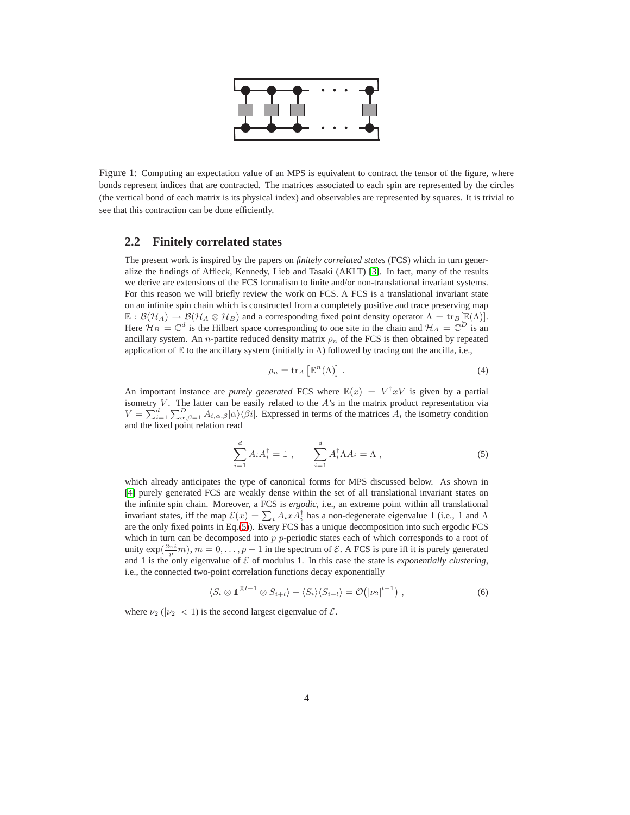

Figure 1: Computing an expectation value of an MPS is equivalent to contract the tensor of the figure, where bonds represent indices that are contracted. The matrices associated to each spin are represented by the circles (the vertical bond of each matrix is its physical index) and observables are represented by squares. It is trivial to see that this contraction can be done efficiently.

### <span id="page-3-0"></span>**2.2 Finitely correlated states**

The present work is inspired by the papers on *finitely correlated states* (FCS) which in turn generalize the findings of Affleck, Kennedy, Lieb and Tasaki (AKLT) [\[3\]](#page-24-3). In fact, many of the results we derive are extensions of the FCS formalism to finite and/or non-translational invariant systems. For this reason we will briefly review the work on FCS. A FCS is a translational invariant state on an infinite spin chain which is constructed from a completely positive and trace preserving map  $\mathbb{E}: \mathcal{B}(\mathcal{H}_A) \to \mathcal{B}(\mathcal{H}_A \otimes \mathcal{H}_B)$  and a corresponding fixed point density operator  $\Lambda = \text{tr}_B[\mathbb{E}(\Lambda)].$ Here  $\mathcal{H}_B = \mathbb{C}^d$  is the Hilbert space corresponding to one site in the chain and  $\mathcal{H}_A = \mathbb{C}^D$  is an ancillary system. An *n*-partite reduced density matrix  $\rho_n$  of the FCS is then obtained by repeated application of E to the ancillary system (initially in  $\Lambda$ ) followed by tracing out the ancilla, i.e.,

$$
\rho_n = \text{tr}_A \left[ \mathbb{E}^n (\Lambda) \right]. \tag{4}
$$

An important instance are *purely generated* FCS where  $\mathbb{E}(x) = V^{\dagger}xV$  is given by a partial isometry  $V$ . The latter can be easily related to the  $A$ 's in the matrix product representation via  $V = \sum_{i=1}^{d} \sum_{\alpha,\beta=1}^{D} A_{i,\alpha,\beta} |\alpha\rangle\langle\beta i|$ . Expressed in terms of the matrices  $A_i$  the isometry condition and the fixed point relation read

<span id="page-3-1"></span>
$$
\sum_{i=1}^{d} A_i A_i^{\dagger} = \mathbb{1} \;, \qquad \sum_{i=1}^{d} A_i^{\dagger} \Lambda A_i = \Lambda \;, \tag{5}
$$

which already anticipates the type of canonical forms for MPS discussed below. As shown in [\[4\]](#page-24-4) purely generated FCS are weakly dense within the set of all translational invariant states on the infinite spin chain. Moreover, a FCS is *ergodic*, i.e., an extreme point within all translational invariant states, iff the map  $\mathcal{E}(x) = \sum_i A_i x A_i^{\dagger}$  has a non-degenerate eigenvalue 1 (i.e., 1 and  $\Lambda$ are the only fixed points in Eq.[\(5\)](#page-3-1)). Every FCS has a unique decomposition into such ergodic FCS which in turn can be decomposed into  $p$   $p$ -periodic states each of which corresponds to a root of unity  $\exp(\frac{2\pi i}{p}m)$ ,  $m = 0, \ldots, p - 1$  in the spectrum of  $\mathcal{E}$ . A FCS is pure iff it is purely generated and 1 is the only eigenvalue of  $\mathcal E$  of modulus 1. In this case the state is *exponentially clustering*, i.e., the connected two-point correlation functions decay exponentially

<span id="page-3-2"></span>
$$
\langle S_i \otimes \mathbb{1}^{\otimes l-1} \otimes S_{i+l} \rangle - \langle S_i \rangle \langle S_{i+l} \rangle = \mathcal{O}(|\nu_2|^{l-1}), \qquad (6)
$$

where  $\nu_2$  ( $|\nu_2|$  < 1) is the second largest eigenvalue of  $\mathcal{E}$ .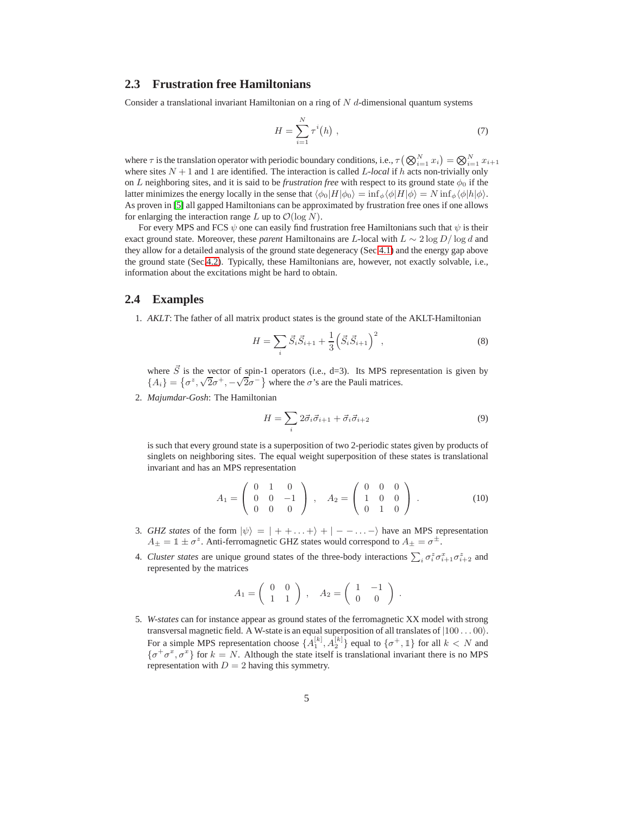### <span id="page-4-0"></span>**2.3 Frustration free Hamiltonians**

Consider a translational invariant Hamiltonian on a ring of  $N$  d-dimensional quantum systems

$$
H = \sum_{i=1}^{N} \tau^{i}(h) , \qquad (7)
$$

where  $\tau$  is the translation operator with periodic boundary conditions, i.e.,  $\tau(\bigotimes_{i=1}^N x_i)=\bigotimes_{i=1}^N x_{i+1}$ where sites  $N + 1$  and 1 are identified. The interaction is called L-local if h acts non-trivially only on L neighboring sites, and it is said to be *frustration free* with respect to its ground state  $\phi_0$  if the latter minimizes the energy locally in the sense that  $\langle \phi_0|H|\phi_0 \rangle = \inf_{\phi} \langle \phi|H|\phi \rangle = N \inf_{\phi} \langle \phi|h|\phi \rangle$ . As proven in [\[5\]](#page-24-5) all gapped Hamiltonians can be approximated by frustration free ones if one allows for enlarging the interaction range L up to  $\mathcal{O}(\log N)$ .

For every MPS and FCS  $\psi$  one can easily find frustration free Hamiltonians such that  $\psi$  is their exact ground state. Moreover, these *parent* Hamiltonains are L-local with L ∼ 2 log D/ log d and they allow for a detailed analysis of the ground state degeneracy (Sec[.4.1\)](#page-14-1) and the energy gap above the ground state (Sec[.4.2\)](#page-17-0). Typically, these Hamiltonians are, however, not exactly solvable, i.e., information about the excitations might be hard to obtain.

### <span id="page-4-1"></span>**2.4 Examples**

1. *AKLT*: The father of all matrix product states is the ground state of the AKLT-Hamiltonian

$$
H = \sum_{i} \vec{S}_{i} \vec{S}_{i+1} + \frac{1}{3} \left( \vec{S}_{i} \vec{S}_{i+1} \right)^2, \qquad (8)
$$

where  $\vec{S}$  is the vector of spin-1 operators (i.e., d=3). Its MPS representation is given by  ${A_i} = {\sigma^z, \sqrt{2\sigma^+}, -\sqrt{2\sigma^-}}$  where the  $\sigma$ 's are the Pauli matrices.

2. *Majumdar-Gosh*: The Hamiltonian

$$
H = \sum_{i} 2\vec{\sigma}_i \vec{\sigma}_{i+1} + \vec{\sigma}_i \vec{\sigma}_{i+2}
$$
\n(9)

is such that every ground state is a superposition of two 2-periodic states given by products of singlets on neighboring sites. The equal weight superposition of these states is translational invariant and has an MPS representation

$$
A_1 = \left(\begin{array}{ccc} 0 & 1 & 0 \\ 0 & 0 & -1 \\ 0 & 0 & 0 \end{array}\right) , \quad A_2 = \left(\begin{array}{ccc} 0 & 0 & 0 \\ 1 & 0 & 0 \\ 0 & 1 & 0 \end{array}\right) . \tag{10}
$$

- 3. *GHZ states* of the form  $|\psi\rangle = | + + ... + \rangle + | - ... \rangle$  have an MPS representation  $A_{\pm} = \mathbb{1} \pm \sigma^z$ . Anti-ferromagnetic GHZ states would correspond to  $A_{\pm} = \sigma^{\pm}$ .
- 4. *Cluster states* are unique ground states of the three-body interactions  $\sum_i \sigma_i^z \sigma_{i+1}^z \sigma_{i+2}^z$  and represented by the matrices

$$
A_1 = \left(\begin{array}{cc} 0 & 0 \\ 1 & 1 \end{array}\right) , \quad A_2 = \left(\begin{array}{cc} 1 & -1 \\ 0 & 0 \end{array}\right) .
$$

5. *W-states* can for instance appear as ground states of the ferromagnetic XX model with strong transversal magnetic field. A W-state is an equal superposition of all translates of  $|100...00\rangle$ . For a simple MPS representation choose  $\{A_1^{[k]}, A_2^{[k]}\}$  equal to  $\{\sigma^+, \mathbb{1}\}$  for all  $k < N$  and  $\{\sigma^+\sigma^x, \sigma^x\}$  for  $k = N$ . Although the state itself is translational invariant there is no MPS representation with  $D = 2$  having this symmetry.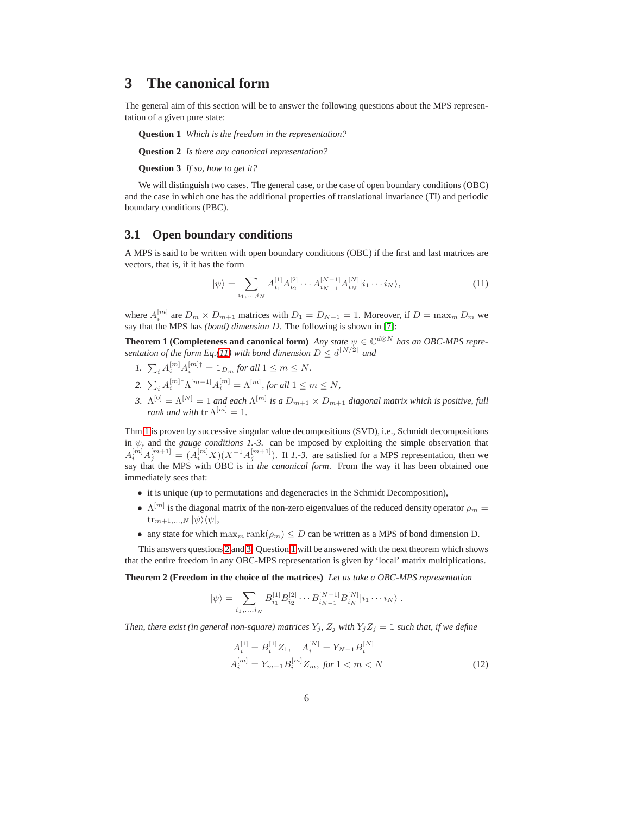# <span id="page-5-0"></span>**3 The canonical form**

<span id="page-5-6"></span>The general aim of this section will be to answer the following questions about the MPS representation of a given pure state:

<span id="page-5-4"></span>**Question 1** *Which is the freedom in the representation?*

**Question 2** *Is there any canonical representation?*

**Question 3** *If so, how to get it?*

<span id="page-5-5"></span>We will distinguish two cases. The general case, or the case of open boundary conditions (OBC) and the case in which one has the additional properties of translational invariance (TI) and periodic boundary conditions (PBC).

### <span id="page-5-1"></span>**3.1 Open boundary conditions**

A MPS is said to be written with open boundary conditions (OBC) if the first and last matrices are vectors, that is, if it has the form

<span id="page-5-8"></span><span id="page-5-2"></span>
$$
|\psi\rangle = \sum_{i_1,\dots,i_N} A_{i_1}^{[1]} A_{i_2}^{[2]} \cdots A_{i_{N-1}}^{[N-1]} A_{i_N}^{[N]} |i_1 \cdots i_N\rangle, \tag{11}
$$

where  $A_i^{[m]}$  are  $D_m \times D_{m+1}$  matrices with  $D_1 = D_{N+1} = 1$ . Moreover, if  $D = \max_m D_m$  we say that the MPS has *(bond) dimension* D. The following is shown in [\[7\]](#page-24-2):

**Theorem 1 (Completeness and canonical form)** *Any state*  $\psi \in \mathbb{C}^{d\otimes N}$  *has an OBC-MPS representation of the form Eq.*[\(11\)](#page-5-2) with bond dimension  $D \le d^{\lfloor N/2 \rfloor}$  and

- *1.*  $\sum_{i} A_i^{[m]} A_i^{[m]\dagger} = \mathbb{1}_{D_m}$  for all  $1 \leq m \leq N$ .
- 2.  $\sum_i A_i^{[m]\dagger} \Lambda^{[m-1]} A_i^{[m]} = \Lambda^{[m]},$  *for all*  $1 \le m \le N$ *,*
- <span id="page-5-3"></span>*3.*  $\Lambda^{[0]} = \Lambda^{[N]} = 1$  and each  $\Lambda^{[m]}$  is a  $D_{m+1} \times D_{m+1}$  diagonal matrix which is positive, full *rank and with*  $\text{tr }\Lambda^{[m]}=1$ *.*

Thm[.1](#page-5-3) is proven by successive singular value decompositions (SVD), i.e., Schmidt decompositions in  $\psi$ , and the *gauge conditions 1.-3*. can be imposed by exploiting the simple observation that  $A_i^{[m]}A_j^{[m+1]} = (A_i^{[m]}X)(X^{-1}A_j^{[m+1]})$ . If *1.-3.* are satisfied for a MPS representation, then we say that the MPS with OBC is in *the canonical form*. From the way it has been obtained one immediately sees that:

- it is unique (up to permutations and degeneracies in the Schmidt Decomposition),
- $\Lambda^{[m]}$  is the diagonal matrix of the non-zero eigenvalues of the reduced density operator  $\rho_m =$  $\text{tr}_{m+1,...,N} |\psi\rangle\langle\psi|,$
- any state for which  $\max_{m} \text{rank}(\rho_m) \leq D$  can be written as a MPS of bond dimension D.

<span id="page-5-9"></span>This answers questions [2](#page-5-4) and [3.](#page-5-5) Question [1](#page-5-6) will be answered with the next theorem which shows that the entire freedom in any OBC-MPS representation is given by 'local' matrix multiplications.

**Theorem 2 (Freedom in the choice of the matrices)** *Let us take a OBC-MPS representation*

$$
|\psi\rangle = \sum_{i_1,\dots,i_N} B_{i_1}^{[1]} B_{i_2}^{[2]} \cdots B_{i_{N-1}}^{[N-1]} B_{i_N}^{[N]} |i_1 \cdots i_N\rangle.
$$

*Then, there exist (in general non-square) matrices*  $Y_i$ ,  $Z_i$  *with*  $Y_iZ_j = \mathbb{1}$  *such that, if we define* 

<span id="page-5-7"></span>
$$
A_i^{[1]} = B_i^{[1]} Z_1, \quad A_i^{[N]} = Y_{N-1} B_i^{[N]}
$$

$$
A_i^{[m]} = Y_{m-1} B_i^{[m]} Z_m, \text{ for } 1 < m < N \tag{12}
$$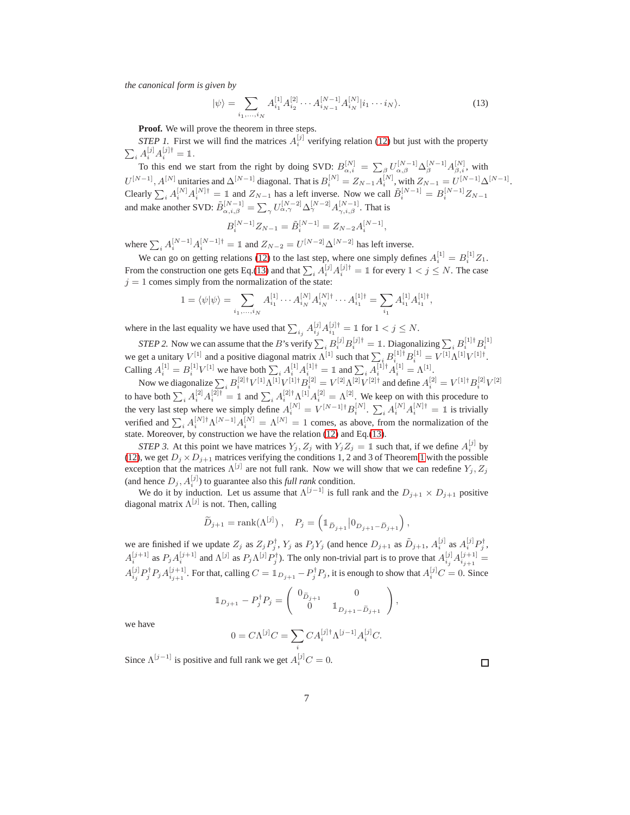*the canonical form is given by*

<span id="page-6-0"></span>
$$
|\psi\rangle = \sum_{i_1,\dots,i_N} A_{i_1}^{[1]} A_{i_2}^{[2]} \cdots A_{i_{N-1}}^{[N-1]} A_{i_N}^{[N]} |i_1 \cdots i_N\rangle.
$$
 (13)

**Proof.** We will prove the theorem in three steps.

*STEP 1.* First we will find the matrices  $A_i^{[j]}$  verifying relation [\(12\)](#page-5-7) but just with the property  $\sum_i A_i^{[j]} A_i^{[j]\dagger} = \mathbb{1}.$ 

To this end we start from the right by doing SVD:  $B_{\alpha,i}^{[N]} = \sum_{\beta} U_{\alpha,\beta}^{[N-1]} \Delta_{\beta}^{[N-1]} A_{\beta,i}^{[N]}$ , with  $U^{[N-1]}, A^{[N]}$  unitaries and  $\Delta^{[N-1]}$  diagonal. That is  $B_i^{[N]} = Z_{N-1} A_i^{[N]}$ , with  $Z_{N-1} = U^{[N-1]} \Delta^{[N-1]}$ . Clearly  $\sum_i A_i^{[N]} A_i^{[N]\dagger} = \mathbb{1}$  and  $Z_{N-1}$  has a left inverse. Now we call  $\tilde{B}_i^{[N-1]} = B_i^{[N-1]} Z_{N-1}$ and make another SVD:  $\tilde{B}_{\alpha,i,\beta}^{[N-1]} = \sum_{\gamma} U_{\alpha,\gamma}^{[N-2]} \Delta_{\gamma}^{[N-2]} A_{\gamma,i,\beta}^{[N-1]}$ . That is

$$
B_i^{[N-1]}Z_{N-1} = \tilde{B}_i^{[N-1]} = Z_{N-2}A_i^{[N-1]},
$$

where  $\sum_i A_i^{[N-1]} A_i^{[N-1]\dagger} = \mathbb{1}$  and  $Z_{N-2} = U^{[N-2]} \Delta^{[N-2]}$  has left inverse.

We can go on getting relations [\(12\)](#page-5-7) to the last step, where one simply defines  $A_i^{[1]} = B_i^{[1]} Z_1$ . From the construction one gets Eq.[\(13\)](#page-6-0) and that  $\sum_i A_i^{[j]} A_i^{[j]\dagger} = \mathbb{1}$  for every  $1 < j \le N$ . The case  $j = 1$  comes simply from the normalization of the state:

$$
1 = \langle \psi | \psi \rangle = \sum_{i_1, \dots, i_N} A_{i_1}^{[1]} \cdots A_{i_N}^{[N]} A_{i_N}^{[N] \dagger} \cdots A_{i_1}^{[1] \dagger} = \sum_{i_1} A_{i_1}^{[1]} A_{i_1}^{[1] \dagger},
$$

where in the last equality we have used that  $\sum_{i_j} A_{i_j}^{[j]} A_{i_1}^{[j]\dagger} = \mathbb{1}$  for  $1 < j \le N$ .

*STEP 2.* Now we can assume that the *B*'s verify  $\sum_i B_i^{[j]} B_i^{[j]\dagger} = \mathbb{1}$ . Diagonalizing  $\sum_i B_i^{[1]\dagger} B_i^{[1]}$ we get a unitary  $V^{[1]}$  and a positive diagonal matrix  $\Lambda^{[1]}$  such that  $\sum_i B_i^{[1]\dagger} B_i^{[1]} = V^{[1]}\Lambda^{[1]}V^{[1]\dagger}$ . Calling  $A_i^{[1]} = B_i^{[1]} V^{[1]}$  we have both  $\sum_i A_i^{[1]} A_i^{[1]\dagger} = \mathbb{1}$  and  $\sum_i A_i^{[1]\dagger} A_i^{[1]} = \Lambda^{[1]}$ .

Now we diagonalize  $\sum_i B_i^{[2]\dagger} V^{[1]}\Lambda^{[1]} V^{[1]\dagger} B_i^{[2]} = V^{[2]}\Lambda^{[2]} V^{[2]\dagger}$  and define  $A_i^{[2]} = V^{[1]\dagger} B_i^{[2]} V^{[2]}$ to have both  $\sum_i A_i^{[2]} A_i^{[2]\dagger} = \mathbb{1}$  and  $\sum_i A_i^{[2]\dagger} \Lambda^{[1]} A_i^{[2]} = \Lambda^{[2]}$ . We keep on with this procedure to the very last step where we simply define  $A_i^{[N]} = V^{[N-1]\dagger} B_i^{[N]}$ .  $\sum_i A_i^{[N]} A_i^{[N]\dagger} = \mathbb{1}$  is trivially verified and  $\sum_i A_i^{[N]\dagger} \Lambda^{[N-1]} A_i^{[N]} = \Lambda^{[N]} = 1$  comes, as above, from the normalization of the state. Moreover, by construction we have the relation [\(12\)](#page-5-7) and Eq.[\(13\)](#page-6-0).

*STEP 3.* At this point we have matrices  $Y_j$ ,  $Z_j$  with  $Y_j Z_j = \mathbb{1}$  such that, if we define  $A_i^{[j]}$  by [\(12\)](#page-5-7), we get  $D_j \times D_{j+1}$  matrices verifying the conditions [1](#page-5-8), 2 and 3 of Theorem 1 with the possible exception that the matrices  $\Lambda^{[j]}$  are not full rank. Now we will show that we can redefine  $Y_j, Z_j$ (and hence  $D_j$ ,  $A_i^{[j]}$ ) to guarantee also this *full rank* condition.

We do it by induction. Let us assume that  $\Lambda^{[j-1]}$  is full rank and the  $D_{j+1} \times D_{j+1}$  positive diagonal matrix  $\Lambda^{[j]}$  is not. Then, calling

$$
\widetilde{D}_{j+1} = \text{rank}(\Lambda^{[j]}) \ , \quad P_j = \left( \mathbb{1}_{\widetilde{D}_{j+1}} | 0_{D_{j+1} - \widetilde{D}_{j+1}} \right),
$$

we are finished if we update  $Z_j$  as  $Z_j P_j^{\dagger}$ ,  $Y_j$  as  $P_j Y_j$  (and hence  $D_{j+1}$  as  $\tilde{D}_{j+1}$ ,  $A_i^{[j]}$  as  $A_i^{[j]} P_j^{\dagger}$ ,  $A_i^{[j+1]}$  as  $P_j A_i^{[j+1]}$  and  $\Lambda^{[j]}$  as  $P_j \Lambda^{[j]} P_j^{\dagger}$ ). The only non-trivial part is to prove that  $A_{i_j}^{[j]} A_{i_{j+1}}^{[j+1]} =$  $A_{i_j}^{[j]}P_j^{\dagger}P_jA_{i_{j+1}}^{[j+1]}$ . For that, calling  $C=\mathbb{1}_{D_{j+1}}-P_j^{\dagger}P_j$ , it is enough to show that  $A_i^{[j]}C=0$ . Since

$$
\mathbb{1}_{D_{j+1}} - P_j^{\dagger} P_j = \begin{pmatrix} 0_{\widetilde{D}_{j+1}} & 0 \\ 0 & \mathbb{1}_{D_{j+1} - \widetilde{D}_{j+1}} \end{pmatrix},
$$

we have

$$
0 = C\Lambda^{[j]}C = \sum_{i} CA_i^{[j]\dagger} \Lambda^{[j-1]} A_i^{[j]}C.
$$

Since  $\Lambda^{[j-1]}$  is positive and full rank we get  $A_i^{[j]}C = 0$ .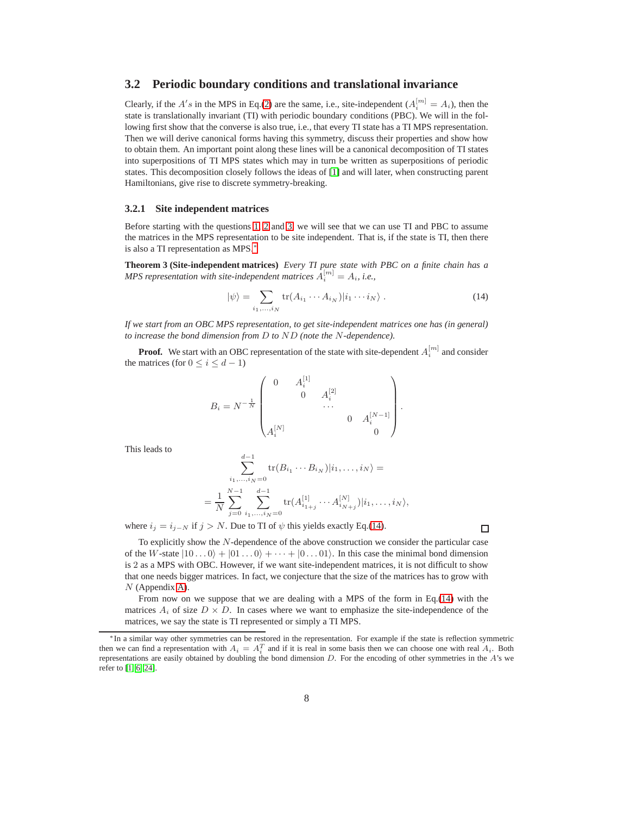## <span id="page-7-0"></span>**3.2 Periodic boundary conditions and translational invariance**

Clearly, if the  $A's$  in the MPS in Eq.[\(2\)](#page-2-2) are the same, i.e., site-independent  $(A_i^{[m]} = A_i)$ , then the state is translationally invariant (TI) with periodic boundary conditions (PBC). We will in the following first show that the converse is also true, i.e., that every TI state has a TI MPS representation. Then we will derive canonical forms having this symmetry, discuss their properties and show how to obtain them. An important point along these lines will be a canonical decomposition of TI states into superpositions of TI MPS states which may in turn be written as superpositions of periodic states. This decomposition closely follows the ideas of [\[1\]](#page-24-0) and will later, when constructing parent Hamiltonians, give rise to discrete symmetry-breaking.

#### <span id="page-7-1"></span>**3.2.1 Site independent matrices**

Before starting with the questions [1,](#page-5-6) [2](#page-5-4) and [3,](#page-5-5) we will see that we can use TI and PBC to assume the matrices in the MPS representation to be site independent. That is, if the state is TI, then there is also a TI representation as MPS.[∗](#page-7-2)

**Theorem 3 (Site-independent matrices)** *Every TI pure state with PBC on a finite chain has a MPS representation with site-independent matrices*  $A_i^{[m]} = A_i$ , *i.e.*,

<span id="page-7-3"></span>
$$
|\psi\rangle = \sum_{i_1,\dots,i_N} \text{tr}(A_{i_1}\cdots A_{i_N}) |i_1\cdots i_N\rangle . \tag{14}
$$

*If we start from an OBC MPS representation, to get site-independent matrices one has (in general) to increase the bond dimension from* D *to* ND *(note the* N*-dependence).*

**Proof.** We start with an OBC representation of the state with site-dependent  $A_i^{[m]}$  and consider the matrices (for  $0 \le i \le d-1$ )

$$
B_i = N^{-\frac{1}{N}} \begin{pmatrix} 0 & A_i^{[1]} & & \\ & 0 & A_i^{[2]} & \\ & & \cdots & \\ & & & 0 & A_i^{[N-1]} \\ A_i^{[N]} & & & 0 \end{pmatrix}.
$$

This leads to

$$
\sum_{i_1,\dots,i_N=0}^{d-1} tr(B_{i_1} \cdots B_{i_N}) | i_1,\dots,i_N\rangle =
$$
  
= 
$$
\frac{1}{N} \sum_{j=0}^{N-1} \sum_{i_1,\dots,i_N=0}^{d-1} tr(A_{i_{1+j}}^{[1]} \cdots A_{i_{N+j}}^{[N]}) | i_1,\dots,i_N\rangle,
$$

where  $i_j = i_{j-N}$  if  $j > N$ . Due to TI of  $\psi$  this yields exactly Eq.[\(14\)](#page-7-3).

 $\Box$ 

To explicitly show the N-dependence of the above construction we consider the particular case of the W-state  $|10...0\rangle + |01...0\rangle + \cdots + |0...01\rangle$ . In this case the minimal bond dimension is 2 as a MPS with OBC. However, if we want site-independent matrices, it is not difficult to show that one needs bigger matrices. In fact, we conjecture that the size of the matrices has to grow with  $N$  (Appendix [A\)](#page-25-0).

From now on we suppose that we are dealing with a MPS of the form in Eq.[\(14\)](#page-7-3) with the matrices  $A_i$  of size  $D \times D$ . In cases where we want to emphasize the site-independence of the matrices, we say the state is TI represented or simply a TI MPS.

<span id="page-7-2"></span><sup>∗</sup> In a similar way other symmetries can be restored in the representation. For example if the state is reflection symmetric then we can find a representation with  $A_i = A_i^T$  and if it is real in some basis then we can choose one with real  $A_i$ . Both representations are easily obtained by doubling the bond dimension D. For the encoding of other symmetries in the A's we refer to [\[1,](#page-24-0) [6,](#page-24-6) [24\]](#page-25-1).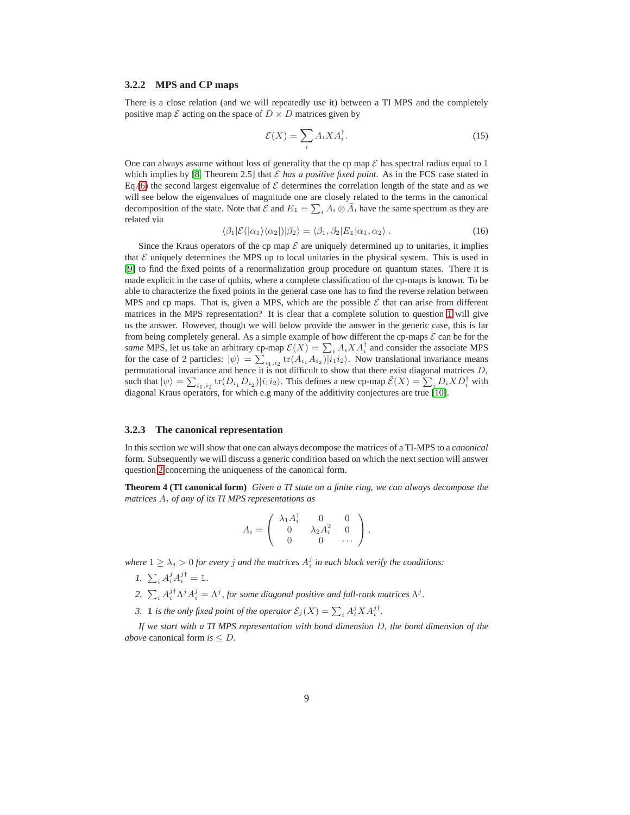#### <span id="page-8-0"></span>**3.2.2 MPS and CP maps**

There is a close relation (and we will repeatedly use it) between a TI MPS and the completely positive map  $\mathcal E$  acting on the space of  $D \times D$  matrices given by

$$
\mathcal{E}(X) = \sum_{i} A_i X A_i^{\dagger}.
$$
 (15)

One can always assume without loss of generality that the cp map  $\mathcal E$  has spectral radius equal to 1 which implies by  $[8,$  Theorem 2.5] that  $\mathcal E$  *has a positive fixed point*. As in the FCS case stated in Eq.[\(6\)](#page-3-2) the second largest eigenvalue of  $\mathcal E$  determines the correlation length of the state and as we will see below the eigenvalues of magnitude one are closely related to the terms in the canonical decomposition of the state. Note that  $\mathcal E$  and  $E_1 = \sum_i A_i \otimes \bar{A}_i$  have the same spectrum as they are related via

<span id="page-8-3"></span>
$$
\langle \beta_1 | \mathcal{E}(|\alpha_1\rangle \langle \alpha_2|) | \beta_2 \rangle = \langle \beta_1, \beta_2 | E_1 | \alpha_1, \alpha_2 \rangle . \tag{16}
$$

Since the Kraus operators of the cp map  $\mathcal E$  are uniquely determined up to unitaries, it implies that  $\mathcal E$  uniquely determines the MPS up to local unitaries in the physical system. This is used in [\[9\]](#page-24-8) to find the fixed points of a renormalization group procedure on quantum states. There it is made explicit in the case of qubits, where a complete classification of the cp-maps is known. To be able to characterize the fixed points in the general case one has to find the reverse relation between MPS and cp maps. That is, given a MPS, which are the possible  $\mathcal E$  that can arise from different matrices in the MPS representation? It is clear that a complete solution to question [1](#page-5-6) will give us the answer. However, though we will below provide the answer in the generic case, this is far from being completely general. As a simple example of how different the cp-maps  $\mathcal E$  can be for the *same* MPS, let us take an arbitrary cp-map  $\mathcal{E}(X) = \sum_i A_i X A_i^{\dagger}$  and consider the associate MPS for the case of 2 particles:  $|\psi\rangle = \sum_{i_1,i_2} tr(A_{i_1}A_{i_2})|i_1i_2\rangle$ . Now translational invariance means permutational invariance and hence it is not difficult to show that there exist diagonal matrices  $D_i$ such that  $|\psi\rangle = \sum_{i_1,i_2} \text{tr}(D_{i_1}D_{i_2})|i_1i_2\rangle$ . This defines a new cp-map  $\tilde{\mathcal{E}}(X) = \sum_i D_i X D_i^{\dagger}$  with diagonal Kraus operators, for which e.g many of the additivity conjectures are true [\[10\]](#page-24-9).

#### <span id="page-8-1"></span>**3.2.3 The canonical representation**

In this section we will show that one can always decompose the matrices of a TI-MPS to a *canonical* form. Subsequently we will discuss a generic condition based on which the next section will answer question [2](#page-5-4) concerning the uniqueness of the canonical form.

<span id="page-8-2"></span>**Theorem 4 (TI canonical form)** *Given a TI state on a finite ring, we can always decompose the matrices* A<sup>i</sup> *of any of its TI MPS representations as*

$$
A_i = \begin{pmatrix} \lambda_1 A_i^1 & 0 & 0 \\ 0 & \lambda_2 A_i^2 & 0 \\ 0 & 0 & \cdots \end{pmatrix},
$$

*where*  $1 \ge \lambda_j > 0$  *for every j and the matrices*  $A_i^j$  *in each block verify the conditions:* 

- *I.*  $\sum_i A_i^j A_i^{j\dagger} = \mathbb{1}.$
- 2.  $\sum_i A_i^{j\dagger} \Lambda^j A_i^j = \Lambda^j$ , *for some diagonal positive and full-rank matrices*  $\Lambda^j$ .
- *3.* 1 *is the only fixed point of the operator*  $\mathcal{E}_j(X) = \sum_i A_i^j X A_i^{j\dagger}$ .

*If we start with a TI MPS representation with bond dimension* D*, the bond dimension of the above* canonical form *is* ≤ D*.*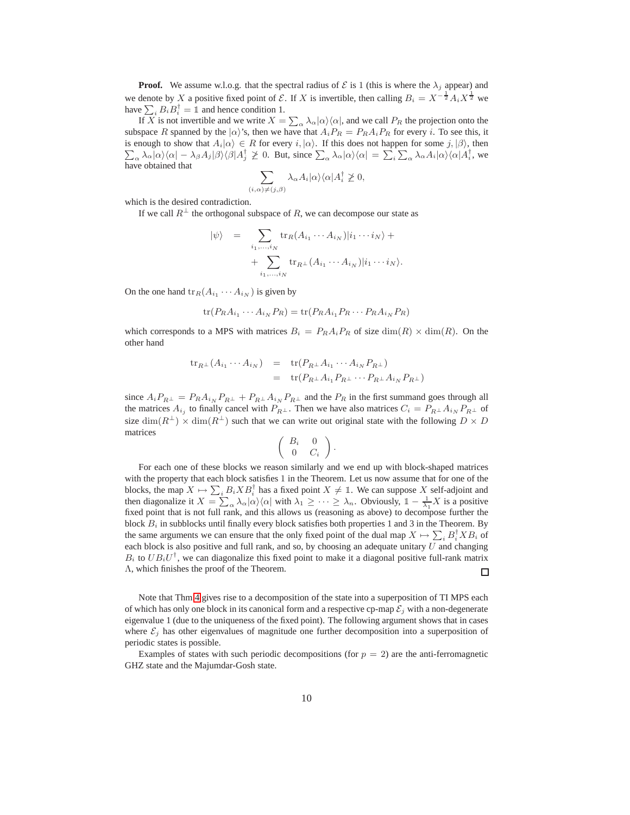**Proof.** We assume w.l.o.g. that the spectral radius of  $\mathcal{E}$  is 1 (this is where the  $\lambda_j$  appear) and we denote by X a positive fixed point of E. If X is invertible, then calling  $B_i = X^{-\frac{1}{2}} A_i X^{\frac{1}{2}}$  we have  $\sum_i B_i B_i^{\dagger} = \mathbb{1}$  and hence condition 1.

If X is not invertible and we write  $X = \sum_{\alpha} \lambda_{\alpha} |\alpha\rangle \langle \alpha|$ , and we call  $P_R$  the projection onto the subspace R spanned by the  $|\alpha\rangle$ 's, then we have that  $A_iP_R = P_R A_iP_R$  for every i. To see this, it is enough to show that  $A_i|\alpha\rangle \in R$  for every  $i, |\alpha\rangle$ . If this does not happen for some  $j, |\beta\rangle$ , then  $\sum_{\alpha} \lambda_{\alpha} |\alpha\rangle\langle\alpha| - \lambda_{\beta} A_j |\beta\rangle\langle\beta| A_j^{\dagger} \ngeq 0$ . But, since  $\sum_{\alpha} \lambda_{\alpha} |\alpha\rangle\langle\alpha| = \sum_{i} \sum_{\alpha} \lambda_{\alpha} A_i |\alpha\rangle\langle\alpha| A_i^{\dagger}$ , we have obtained that

$$
\sum_{\alpha \geq \neq (j,\beta)} \lambda_{\alpha} A_i |\alpha\rangle \langle \alpha | A_i^{\dagger} \ngeq 0,
$$

which is the desired contradiction.

If we call  $R^{\perp}$  the orthogonal subspace of R, we can decompose our state as

 $(i,$ 

$$
|\psi\rangle = \sum_{i_1,\dots,i_N} \text{tr}_R(A_{i_1}\cdots A_{i_N})|i_1\cdots i_N\rangle + \sum_{i_1,\dots,i_N} \text{tr}_{R^\perp}(A_{i_1}\cdots A_{i_N})|i_1\cdots i_N\rangle.
$$

On the one hand  $\text{tr}_R(A_{i_1} \cdots A_{i_N})$  is given by

$$
\operatorname{tr}(P_R A_{i_1} \cdots A_{i_N} P_R) = \operatorname{tr}(P_R A_{i_1} P_R \cdots P_R A_{i_N} P_R)
$$

which corresponds to a MPS with matrices  $B_i = P_R A_i P_R$  of size  $\dim(R) \times \dim(R)$ . On the other hand

$$
\operatorname{tr}_{R^{\perp}}(A_{i_1}\cdots A_{i_N}) = \operatorname{tr}(P_{R^{\perp}}A_{i_1}\cdots A_{i_N}P_{R^{\perp}})
$$
  
= 
$$
\operatorname{tr}(P_{R^{\perp}}A_{i_1}P_{R^{\perp}}\cdots P_{R^{\perp}}A_{i_N}P_{R^{\perp}})
$$

since  $A_iP_{R^{\perp}} = P_R A_{i_N} P_{R^{\perp}} + P_{R^{\perp}} A_{i_N} P_{R^{\perp}}$  and the  $P_R$  in the first summand goes through all the matrices  $A_{i_j}$  to finally cancel with  $P_{R^{\perp}}$ . Then we have also matrices  $C_i = P_{R^{\perp}} A_{i_N} P_{R^{\perp}}$  of size  $\dim(R^{\perp}) \times \dim(R^{\perp})$  such that we can write out original state with the following  $D \times D$ matrices

$$
\left(\begin{array}{cc} B_i & 0 \\ 0 & C_i \end{array}\right).
$$

For each one of these blocks we reason similarly and we end up with block-shaped matrices with the property that each block satisfies 1 in the Theorem. Let us now assume that for one of the blocks, the map  $X \mapsto \sum_i B_i X B_i^{\dagger}$  has a fixed point  $X \neq \mathbb{I}$ . We can suppose X self-adjoint and then diagonalize it  $X = \sum_{\alpha} \lambda_{\alpha} |\alpha\rangle \langle \alpha|$  with  $\lambda_1 \geq \cdots \geq \lambda_n$ . Obviously,  $1 - \frac{1}{\lambda_1}X$  is a positive fixed point that is not full rank, and this allows us (reasoning as above) to decompose further the block  $B_i$  in subblocks until finally every block satisfies both properties 1 and 3 in the Theorem. By the same arguments we can ensure that the only fixed point of the dual map  $X \mapsto \sum_i B_i^{\dagger} X B_i$  of each block is also positive and full rank, and so, by choosing an adequate unitary  $U$  and changing  $B_i$  to  $UB_iU^{\dagger}$ , we can diagonalize this fixed point to make it a diagonal positive full-rank matrix Λ, which finishes the proof of the Theorem.  $\Box$ 

Note that Thm[.4](#page-8-2) gives rise to a decomposition of the state into a superposition of TI MPS each of which has only one block in its canonical form and a respective cp-map  $\mathcal{E}_i$  with a non-degenerate eigenvalue 1 (due to the uniqueness of the fixed point). The following argument shows that in cases where  $\mathcal{E}_j$  has other eigenvalues of magnitude one further decomposition into a superposition of periodic states is possible.

<span id="page-9-0"></span>Examples of states with such periodic decompositions (for  $p = 2$ ) are the anti-ferromagnetic GHZ state and the Majumdar-Gosh state.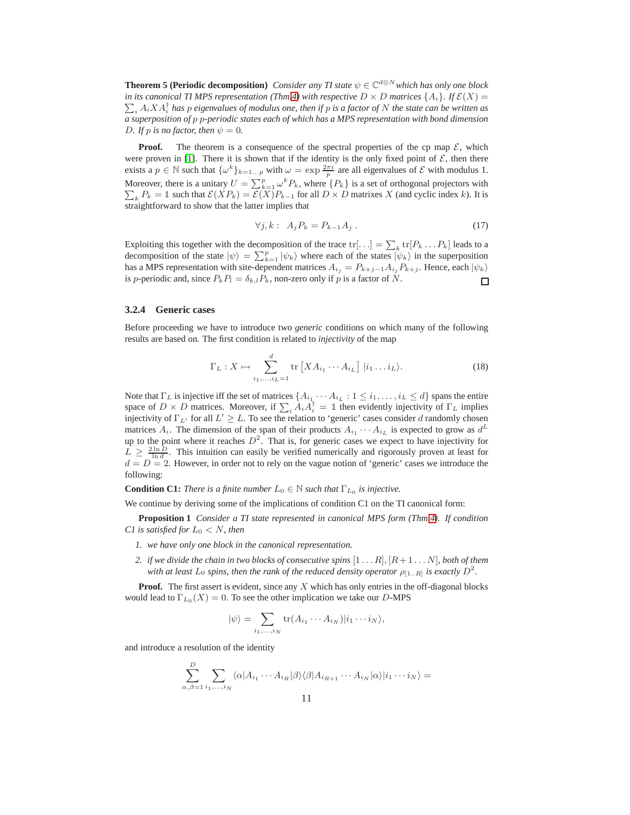**Theorem 5 (Periodic decomposition)** *Consider any TI state*  $\psi \in \mathbb{C}^{d \otimes N}$  *which has only one block*  $\sum_i A_i X A_i^\dagger$  has  $p$  eigenvalues of modulus one, then if  $p$  is a factor of  $N$  the state can be written as *in its canonical TI MPS representation (Thm[.4\)](#page-8-2) with respective*  $D \times D$  *matrices*  $\{A_i\}$ *. If*  $\mathcal{E}(X)$  = *a superposition of* p p*-periodic states each of which has a MPS representation with bond dimension D.* If p is no factor, then  $\psi = 0$ .

**Proof.** The theorem is a consequence of the spectral properties of the cp map  $\mathcal{E}$ , which were proven in [\[1\]](#page-24-0). There it is shown that if the identity is the only fixed point of  $\mathcal{E}$ , then there exists a  $p \in \mathbb{N}$  such that  $\{\omega^k\}_{k=1...p}$  with  $\omega = \exp \frac{2\pi i}{p}$  are all eigenvalues of  $\mathcal E$  with modulus 1. Moreover, there is a unitary  $U = \sum_{k=1}^{p} \omega^k$ Moreover, there is a unitary  $U = \sum_{k=1}^{p} \omega^k P_k$ , where  $\{P_k\}$  is a set of orthogonal projectors with  $\sum_{k=1}^{p} P_k = \mathbb{I}$  such that  $\mathcal{E}(XP_k) = \mathcal{E}(X)P_{k-1}$  for all  $D \times D$  matrixes X (and cyclic index k). It is  $k_k P_k = 1$  such that  $\mathcal{E}(XP_k) = \mathcal{E}(X)P_{k-1}$  for all  $D \times D$  matrixes X (and cyclic index k). It is straightforward to show that the latter implies that

$$
\forall j, k: A_j P_k = P_{k-1} A_j. \tag{17}
$$

Exploiting this together with the decomposition of the trace  $\text{tr}[\ldots] = \sum_k \text{tr}[P_k \ldots P_k]$  leads to a decomposition of the state  $|\psi\rangle = \sum_{k=1}^{p} |\psi_k\rangle$  where each of the states  $|\psi_k\rangle$  in the superposition has a MPS representation with site-dependent matrices  $A_{i_j} = P_{k+j-1} A_{i_j} P_{k+j}$ . Hence, each  $|\psi_k\rangle$ is p-periodic and, since  $P_kP_l = \delta_{k,l}P_k$ , non-zero only if p is a factor of N.  $\Box$ 

#### <span id="page-10-0"></span>**3.2.4 Generic cases**

Before proceeding we have to introduce two *generic* conditions on which many of the following results are based on. The first condition is related to *injectivity* of the map

$$
\Gamma_L: X \mapsto \sum_{i_1, \dots, i_L=1}^d \text{tr}\left[X A_{i_1} \cdots A_{i_L}\right] | i_1 \dots i_L \rangle. \tag{18}
$$

Note that  $\Gamma_L$  is injective iff the set of matrices  $\{A_{i_1} \cdots A_{i_L} : 1 \leq i_1, \ldots, i_L \leq d\}$  spans the entire space of  $D \times D$  matrices. Moreover, if  $\sum_i A_i A_i^{\dagger} = \mathbb{1}$  then evidently injectivity of  $\Gamma_L$  implies injectivity of  $\Gamma_{L'}$  for all  $L' \geq L$ . To see the relation to 'generic' cases consider d randomly chosen matrices  $A_i$ . The dimension of the span of their products  $A_{i_1} \cdots A_{i_L}$  is expected to grow as  $d^L$ up to the point where it reaches  $D^2$ . That is, for generic cases we expect to have injectivity for  $L \geq \frac{2 \ln D}{\ln d}$ . This intuition can easily be verified numerically and rigorously proven at least for  $d = D = 2$ . However, in order not to rely on the vague notion of 'generic' cases we introduce the following:

**Condition C1:** *There is a finite number*  $L_0 \in \mathbb{N}$  *such that*  $\Gamma_{L_0}$  *is injective.* 

We continue by deriving some of the implications of condition C1 on the TI canonical form:

**Proposition 1** *Consider a TI state represented in canonical MPS form (Thm[.4\)](#page-8-2). If condition C1 is satisfied for* L<sup>0</sup> < N*, then*

- *1. we have only one block in the canonical representation.*
- *2. if we divide the chain in two blocks of consecutive spins*  $[1 \dots R], [R+1 \dots N]$ *, both of them* with at least  $L_0$  spins, then the rank of the reduced density operator  $\rho_{[1..R]}$  is exactly  $D^2.$

**Proof.** The first assert is evident, since any X which has only entries in the off-diagonal blocks would lead to  $\Gamma_{L_0}(X) = 0$ . To see the other implication we take our D-MPS

<span id="page-10-1"></span>
$$
|\psi\rangle = \sum_{i_1,\ldots,i_N} \text{tr}(A_{i_1}\cdots A_{i_N}) |i_1\cdots i_N\rangle,
$$

and introduce a resolution of the identity

$$
\sum_{\alpha,\beta=1}^D \sum_{i_1,\dots,i_N} \langle \alpha | A_{i_1} \cdots A_{i_R} | \beta \rangle \langle \beta | A_{i_{R+1}} \cdots A_{i_N} | \alpha \rangle | i_1 \cdots i_N \rangle =
$$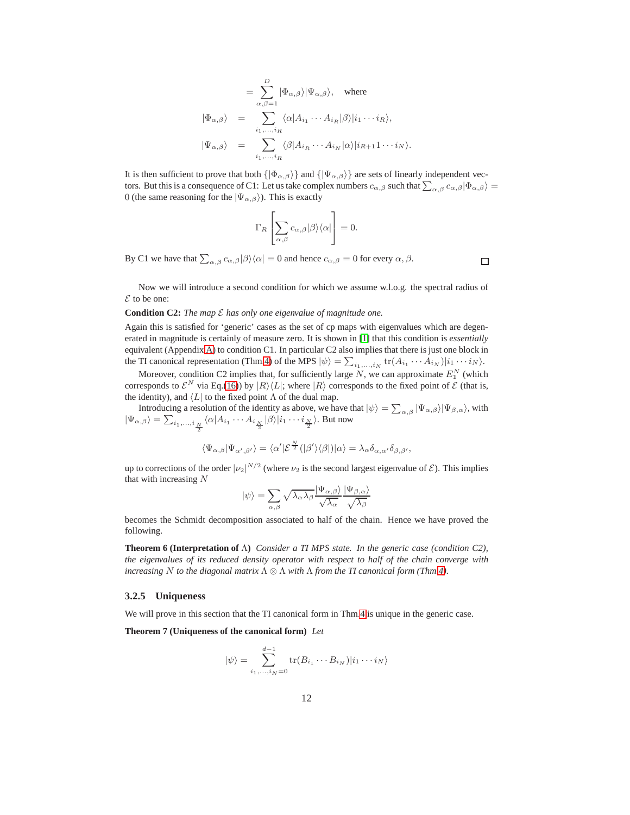$$
= \sum_{\alpha,\beta=1}^{D} |\Phi_{\alpha,\beta}\rangle |\Psi_{\alpha,\beta}\rangle, \text{ where}
$$
  

$$
|\Phi_{\alpha,\beta}\rangle = \sum_{i_1,\dots,i_R} \langle \alpha | A_{i_1} \cdots A_{i_R} | \beta \rangle | i_1 \cdots i_R \rangle,
$$
  

$$
|\Psi_{\alpha,\beta}\rangle = \sum_{i_1,\dots,i_R} \langle \beta | A_{i_R} \cdots A_{i_N} | \alpha \rangle | i_{R+1} 1 \cdots i_N \rangle.
$$

It is then sufficient to prove that both  $\{|\Phi_{\alpha,\beta}\rangle\}$  and  $\{|\Psi_{\alpha,\beta}\rangle\}$  are sets of linearly independent vectors. But this is a consequence of C1: Let us take complex numbers  $c_{\alpha,\beta}$  such that  $\sum_{\alpha,\beta} c_{\alpha,\beta} |\Phi_{\alpha,\beta}\rangle =$ 0 (the same reasoning for the  $|\Psi_{\alpha,\beta}\rangle$ ). This is exactly

$$
\Gamma_R \left[ \sum_{\alpha,\beta} c_{\alpha,\beta} |\beta\rangle\langle\alpha| \right] = 0.
$$

By C1 we have that  $\sum_{\alpha,\beta} c_{\alpha,\beta} |\beta\rangle\langle\alpha| = 0$  and hence  $c_{\alpha,\beta} = 0$  for every  $\alpha, \beta$ .

Now we will introduce a second condition for which we assume w.l.o.g. the spectral radius of  $\mathcal E$  to be one:

#### **Condition C2:** *The map*  $\mathcal E$  *has only one eigenvalue of magnitude one.*

Again this is satisfied for 'generic' cases as the set of cp maps with eigenvalues which are degenerated in magnitude is certainly of measure zero. It is shown in [\[1\]](#page-24-0) that this condition is *essentially* equivalent (Appendix [A\)](#page-25-0) to condition C1. In particular C2 also implies that there is just one block in the TI canonical representation (Thm[.4\)](#page-8-2) of the MPS  $|\psi\rangle = \sum_{i_1,\dots,i_N} tr(A_{i_1} \cdots A_{i_N}) |i_1 \cdots i_N\rangle$ .

Moreover, condition C2 implies that, for sufficiently large N, we can approximate  $E_1^N$  (which corresponds to  $\mathcal{E}^N$  via Eq.[\(16\)](#page-8-3)) by  $|R\rangle\langle L|$ ; where  $|R\rangle$  corresponds to the fixed point of  $\mathcal E$  (that is, the identity), and  $\langle L|$  to the fixed point  $\Lambda$  of the dual map.

Introducing a resolution of the identity as above, we have that  $|\psi\rangle = \sum_{\alpha,\beta} |\Psi_{\alpha,\beta}\rangle |\Psi_{\beta,\alpha}\rangle$ , with  $|\Psi_{\alpha,\beta}\rangle = \sum_{i_1,...,i} \frac{1}{\frac{N}{2}} \langle \alpha | A_{i_1}\cdots A_{i_{\frac{N}{2}}} | \beta \rangle |i_1\cdots i_{\frac{N}{2}}\rangle$ . But now

$$
\langle\Psi_{\alpha,\beta}|\Psi_{\alpha',\beta'}\rangle=\langle\alpha'|\mathcal{E}^{\frac{N}{2}}(|\beta'\rangle\langle\beta|)|\alpha\rangle=\lambda_{\alpha}\delta_{\alpha,\alpha'}\delta_{\beta,\beta'},
$$

up to corrections of the order  $|\nu_2|^{N/2}$  (where  $\nu_2$  is the second largest eigenvalue of  $\mathcal{E}$ ). This implies that with increasing N

$$
|\psi\rangle = \sum_{\alpha,\beta} \sqrt{\lambda_{\alpha}\lambda_{\beta}} \frac{|\Psi_{\alpha,\beta}\rangle}{\sqrt{\lambda_{\alpha}}} \frac{|\Psi_{\beta,\alpha}\rangle}{\sqrt{\lambda_{\beta}}}
$$

becomes the Schmidt decomposition associated to half of the chain. Hence we have proved the following.

**Theorem 6 (Interpretation of** Λ**)** *Consider a TI MPS state. In the generic case (condition C2), the eigenvalues of its reduced density operator with respect to half of the chain converge with increasing* N *to the diagonal matrix* Λ ⊗ Λ *with* Λ *from the TI canonical form (Thm[.4\)](#page-8-2).*

#### <span id="page-11-0"></span>**3.2.5 Uniqueness**

<span id="page-11-1"></span>We will prove in this section that the TI canonical form in Thm[.4](#page-8-2) is unique in the generic case.

**Theorem 7 (Uniqueness of the canonical form)** *Let*

$$
|\psi\rangle = \sum_{i_1,\dots,i_N=0}^{d-1} \text{tr}(B_{i_1}\cdots B_{i_N})|i_1\cdots i_N\rangle
$$

 $\Box$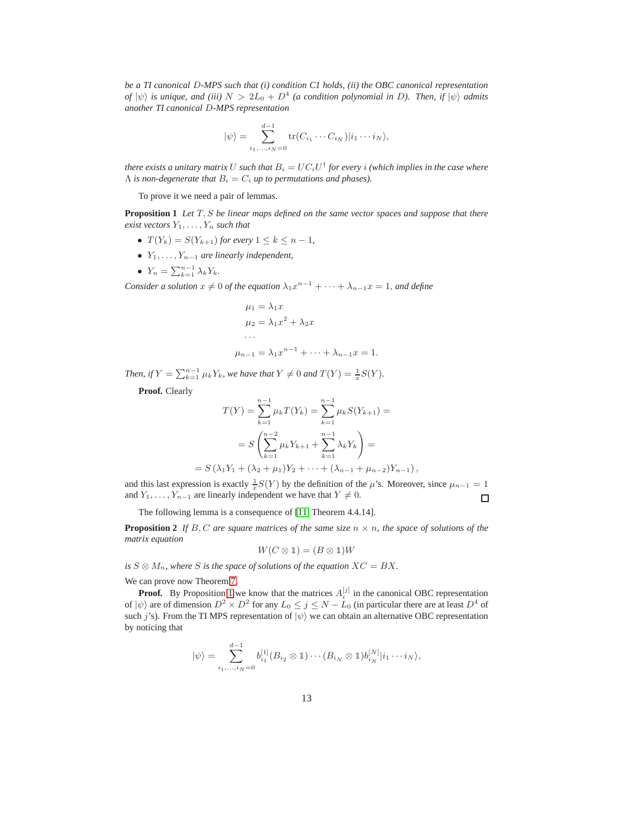*be a TI canonical* D*-MPS such that (i) condition C1 holds, (ii) the OBC canonical representation of*  $|\psi\rangle$  *is unique, and (iii)*  $N > 2L_0 + D^4$  *(a condition polynomial in D). Then, if*  $|\psi\rangle$  *admits another TI canonical* D*-MPS representation*

$$
|\psi\rangle = \sum_{i_1,\ldots,i_N=0}^{d-1} \text{tr}(C_{i_1}\cdots C_{i_N})|i_1\cdots i_N\rangle,
$$

there exists a unitary matrix  $U$  such that  $B_i = U C_i U^\dagger$  for every  $i$  (which implies in the case where  $\Lambda$  *is non-degenerate that*  $B_i = C_i$  *up to permutations and phases*).

To prove it we need a pair of lemmas.

<span id="page-12-0"></span>**Proposition 1** *Let* T, S *be linear maps defined on the same vector spaces and suppose that there exist vectors*  $Y_1, \ldots, Y_n$  *such that* 

- $T(Y_k) = S(Y_{k+1})$  *for every*  $1 \leq k \leq n-1$ *,*
- $Y_1, \ldots, Y_{n-1}$  are linearly independent,
- $Y_n = \sum_{k=1}^{n-1} \lambda_k Y_k$ .

*Consider a solution*  $x \neq 0$  *of the equation*  $\lambda_1 x^{n-1} + \cdots + \lambda_{n-1} x = 1$ *, and define* 

$$
\mu_1 = \lambda_1 x
$$
  
\n
$$
\mu_2 = \lambda_1 x^2 + \lambda_2 x
$$
  
\n...  
\n
$$
\mu_{n-1} = \lambda_1 x^{n-1} + \dots + \lambda_{n-1} x = 1.
$$

*Then, if*  $Y = \sum_{k=1}^{n-1} \mu_k Y_k$ *, we have that*  $Y \neq 0$  *and*  $T(Y) = \frac{1}{x}S(Y)$ *.* 

**Proof.** Clearly

$$
T(Y) = \sum_{k=1}^{n-1} \mu_k T(Y_k) = \sum_{k=1}^{n-1} \mu_k S(Y_{k+1}) =
$$
  
= 
$$
S\left(\sum_{k=1}^{n-2} \mu_k Y_{k+1} + \sum_{k=1}^{n-1} \lambda_k Y_k\right) =
$$
  
= 
$$
S(\lambda_1 Y_1 + (\lambda_2 + \mu_1) Y_2 + \dots + (\lambda_{n-1} + \mu_{n-2}) Y_{n-1}),
$$

and this last expression is exactly  $\frac{1}{x}S(Y)$  by the definition of the  $\mu$ 's. Moreover, since  $\mu_{n-1} = 1$ and  $Y_1, \ldots, Y_{n-1}$  are linearly independent we have that  $Y \neq 0$ .  $\Box$ 

The following lemma is a consequence of [\[11,](#page-24-10) Theorem 4.4.14].

**Proposition 2** If B, C are square matrices of the same size  $n \times n$ , the space of solutions of the *matrix equation*

<span id="page-12-1"></span>
$$
W(C\otimes \mathbb{1})=(B\otimes \mathbb{1})W
$$

*is*  $S \otimes M_n$ *, where S is the space of solutions of the equation*  $XC = BX$ *.* 

We can prove now Theorem [7.](#page-11-1)

**Proof.** By Proposition [1](#page-10-1) we know that the matrices  $A_i^{[j]}$  in the canonical OBC representation of  $|\psi\rangle$  are of dimension  $D^2 \times D^2$  for any  $L_0 \le j \le N - L_0$  (in particular there are at least  $D^4$  of such j's). From the TI MPS representation of  $|\psi\rangle$  we can obtain an alternative OBC representation by noticing that

$$
|\psi\rangle = \sum_{i_1,\ldots,i_N=0}^{d-1} b_{i_1}^{[1]}(B_{i_2}\otimes \mathbb{1})\cdots (B_{i_N}\otimes \mathbb{1})b_{i_N}^{[N]}|i_1\cdots i_N\rangle,
$$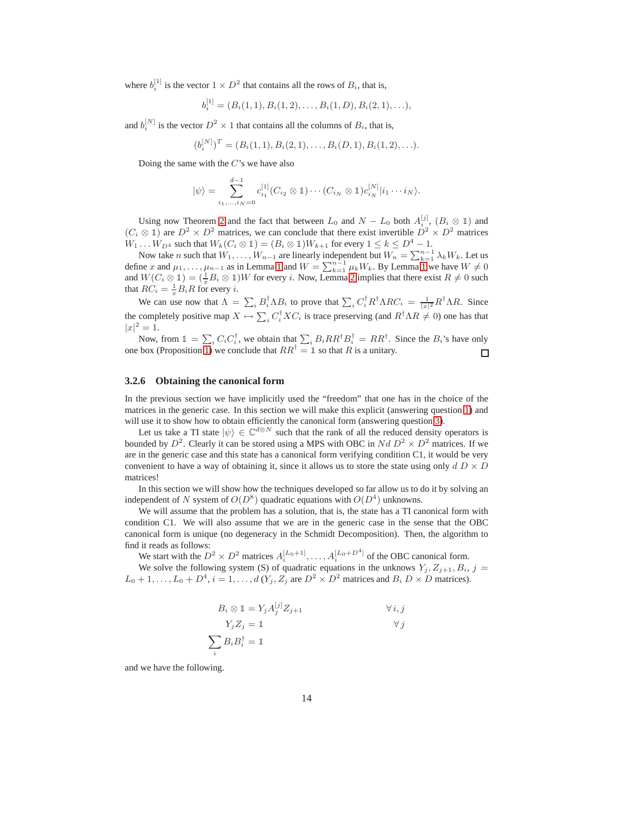where  $b_i^{[1]}$  is the vector  $1 \times D^2$  that contains all the rows of  $B_i$ , that is,

$$
b_i^{[1]} = (B_i(1,1), B_i(1,2), \ldots, B_i(1,D), B_i(2,1), \ldots),
$$

and  $b_i^{[N]}$  is the vector  $D^2 \times 1$  that contains all the columns of  $B_i$ , that is,

$$
(b_i^{[N]})^T = (B_i(1,1), B_i(2,1), \ldots, B_i(D,1), B_i(1,2), \ldots).
$$

Doing the same with the  $C$ 's we have also

$$
|\psi\rangle = \sum_{i_1,...,i_N=0}^{d-1} c_{i_1}^{[1]}(C_{i_2} \otimes \mathbb{1}) \cdots (C_{i_N} \otimes \mathbb{1}) c_{i_N}^{[N]}|i_1 \cdots i_N\rangle.
$$

Using now Theorem [2](#page-5-9) and the fact that between  $L_0$  and  $N - L_0$  both  $A_{i_0}^{[j]}$ ,  $(B_i \otimes \mathbb{1})$  and  $(C_i \otimes \mathbb{1})$  are  $D^2 \times D^2$  matrices, we can conclude that there exist invertible  $D^2 \times D^2$  matrices  $W_1 \dots W_{D^4}$  such that  $W_k(C_i \otimes \mathbb{1}) = (B_i \otimes \mathbb{1})W_{k+1}$  for every  $1 \leq k \leq D^4 - 1$ .

Now take *n* such that  $W_1, \ldots, W_{n-1}$  are linearly independent but  $W_n = \sum_{k=1}^{n-1} \lambda_k W_k$ . Let us define x and  $\mu_1, \ldots, \mu_{n-1}$  as in Lemma [1](#page-12-0) and  $W = \sum_{k=1}^{n-1} \mu_k W_k$ . By Lemma 1 we have  $W \neq 0$ and  $W(C_i \otimes \mathbb{1}) = (\frac{1}{x}B_i \otimes \mathbb{1})W$  for every i. Now, Lemma [2](#page-12-1) implies that there exist  $R \neq 0$  such that  $RC_i = \frac{1}{x}B_iR$  for every *i*.

We can use now that  $\Lambda = \sum_i B_i^{\dagger} \Lambda B_i$  to prove that  $\sum_i C_i^{\dagger} R^{\dagger} \Lambda R C_i = \frac{1}{|x|^2} R^{\dagger} \Lambda R$ . Since the completely positive map  $X \mapsto \sum_i C_i^{\dagger} X C_i$  is trace preserving (and  $R^{\dagger} \Lambda R \neq 0$ ) one has that  $|x|^2 = 1.$ 

Now, from  $\mathbb{1} = \sum_i C_i C_i^{\dagger}$ , we obtain that  $\sum_i B_i R R^{\dagger} B_i^{\dagger} = R R^{\dagger}$ . Since the  $B_i$ 's have only one box (Proposition [1\)](#page-10-1) we conclude that  $RR^{\dagger} = \mathbb{1}$  so that R is a unitary.  $\Box$ 

#### <span id="page-13-0"></span>**3.2.6 Obtaining the canonical form**

In the previous section we have implicitly used the "freedom" that one has in the choice of the matrices in the generic case. In this section we will make this explicit (answering question [1\)](#page-5-6) and will use it to show how to obtain efficiently the canonical form (answering question [3\)](#page-5-5).

Let us take a TI state  $|\psi\rangle \in \mathbb{C}^{d\otimes N}$  such that the rank of all the reduced density operators is bounded by  $D^2$ . Clearly it can be stored using a MPS with OBC in  $Nd D^2 \times D^2$  matrices. If we are in the generic case and this state has a canonical form verifying condition C1, it would be very convenient to have a way of obtaining it, since it allows us to store the state using only  $dD \times D$ matrices!

In this section we will show how the techniques developed so far allow us to do it by solving an independent of N system of  $O(D^8)$  quadratic equations with  $O(D^4)$  unknowns.

We will assume that the problem has a solution, that is, the state has a TI canonical form with condition C1. We will also assume that we are in the generic case in the sense that the OBC canonical form is unique (no degeneracy in the Schmidt Decomposition). Then, the algorithm to find it reads as follows:

We start with the  $D^2 \times D^2$  matrices  $A_i^{[L_0+1]}, \dots, A_i^{[L_0+D^4]}$  of the OBC canonical form.

We solve the following system (S) of quadratic equations in the unknows  $Y_j, Z_{j+1}, B_i, j =$  $L_0 + 1, \ldots, L_0 + D^4$ ,  $i = 1, \ldots, d$   $(Y_j, Z_j$  are  $D^2 \times D^2$  matrices and  $B_i D \times D$  matrices).

$$
B_i \otimes 1 = Y_j A_j^{[j]} Z_{j+1} \qquad \forall i, j
$$
  

$$
Y_j Z_j = 1 \qquad \forall j
$$
  

$$
\sum_i B_i B_i^{\dagger} = 1
$$

and we have the following.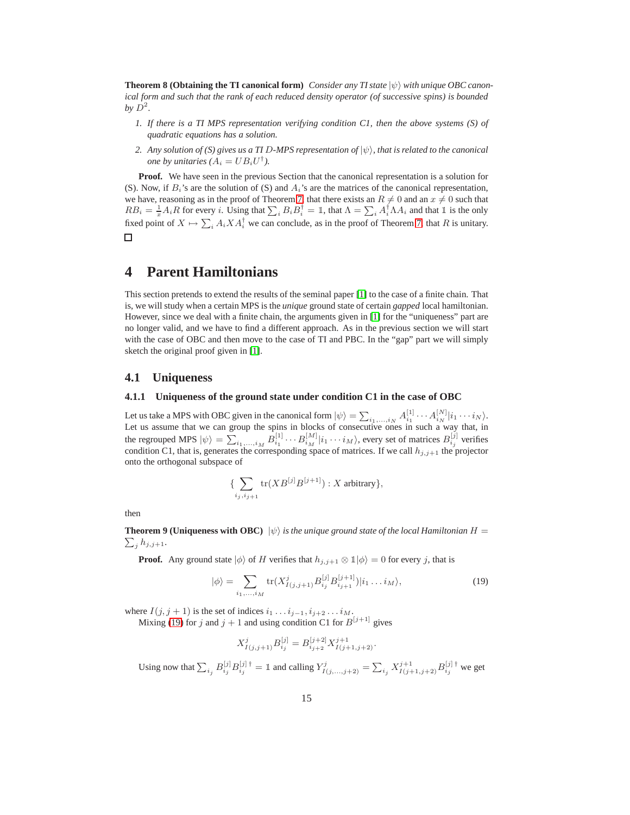**Theorem 8 (Obtaining the TI canonical form)** *Consider any TI state*  $|\psi\rangle$  *with unique OBC canonical form and such that the rank of each reduced density operator (of successive spins) is bounded* by  $D^2$ .

- *1. If there is a TI MPS representation verifying condition C1, then the above systems (S) of quadratic equations has a solution.*
- *2. Any solution of (S) gives us a TI D-MPS representation of*  $|\psi\rangle$ *, that is related to the canonical one by unitaries*  $(A_i = UB_iU^{\dagger})$ .

**Proof.** We have seen in the previous Section that the canonical representation is a solution for (S). Now, if  $B_i$ 's are the solution of (S) and  $A_i$ 's are the matrices of the canonical representation, we have, reasoning as in the proof of Theorem [7,](#page-11-1) that there exists an  $R \neq 0$  and an  $x \neq 0$  such that  $RB_i = \frac{1}{x} A_i R$  for every *i*. Using that  $\sum_i B_i B_i^{\dagger} = \mathbb{I}$ , that  $\Lambda = \sum_i A_i^{\dagger} \Lambda A_i$  and that  $\mathbb{I}$  is the only fixed point of  $X \mapsto \sum_i A_i X A_i^{\dagger}$  we can conclude, as in the proof of Theorem [7,](#page-11-1) that R is unitary.  $\Box$ 

# <span id="page-14-0"></span>**4 Parent Hamiltonians**

This section pretends to extend the results of the seminal paper [\[1\]](#page-24-0) to the case of a finite chain. That is, we will study when a certain MPS is the *unique* ground state of certain *gapped* local hamiltonian. However, since we deal with a finite chain, the arguments given in [\[1\]](#page-24-0) for the "uniqueness" part are no longer valid, and we have to find a different approach. As in the previous section we will start with the case of OBC and then move to the case of TI and PBC. In the "gap" part we will simply sketch the original proof given in [\[1\]](#page-24-0).

### <span id="page-14-2"></span><span id="page-14-1"></span>**4.1 Uniqueness**

#### **4.1.1 Uniqueness of the ground state under condition C1 in the case of OBC**

Let us take a MPS with OBC given in the canonical form  $|\psi\rangle = \sum_{i_1,\dots,i_N} A_{i_1}^{[1]} \cdots A_{i_N}^{[N]} |i_1 \cdots i_N\rangle$ .<br>Let us assume that we can group the spins in blocks of consecutive ones in such a way that, in the regrouped MPS  $|\psi\rangle = \sum_{i_1,...,i_M} B^{[1]}_{i_1} \cdots B^{[M]}_{i_M} |i_1 \cdots i_M\rangle$ , every set of matrices  $B^{[j]}_{i_j}$  verifies condition C1, that is, generates the corresponding space of matrices. If we call  $h_{j,j+1}$  the projector onto the orthogonal subspace of

$$
\{\sum_{i_j,i_{j+1}} \text{tr}(XB^{[j]}B^{[j+1]}): X \text{ arbitrary}\},
$$

then

 $\sum_j h_{j,j+1}$ . **Theorem 9 (Uniqueness with OBC)**  $|\psi\rangle$  *is the unique ground state of the local Hamiltonian*  $H =$ 

**Proof.** Any ground state  $|\phi\rangle$  of H verifies that  $h_{j,j+1} \otimes \mathbb{1}|\phi\rangle = 0$  for every j, that is

<span id="page-14-3"></span>
$$
|\phi\rangle = \sum_{i_1,\dots,i_M} \text{tr}(X^j_{I(j,j+1)} B^{[j]}_{i_j} B^{[j+1]}_{i_{j+1}})|i_1 \dots i_M\rangle,
$$
\n(19)

where  $I(j, j + 1)$  is the set of indices  $i_1 \dots i_{j-1}, i_{j+2} \dots i_M$ .

Mixing (19) for 
$$
j
$$
 and  $j + 1$  and using condition C1 for  $B^{[j+1]}$  gives

$$
X_{I(j,j+1)}^j B_{i_j}^{[j]} = B_{i_{j+2}}^{[j+2]} X_{I(j+1,j+2)}^{j+1}.
$$

Using now that  $\sum_{i_j} B_{i_j}^{[j]} B_{i_j}^{[j] \dagger} = \mathbb{1}$  and calling  $Y_{I(j,...,j+2)}^j = \sum_{i_j} X_{I(j+1,j+2)}^{j+1} B_{i_j}^{[j] \dagger}$  we get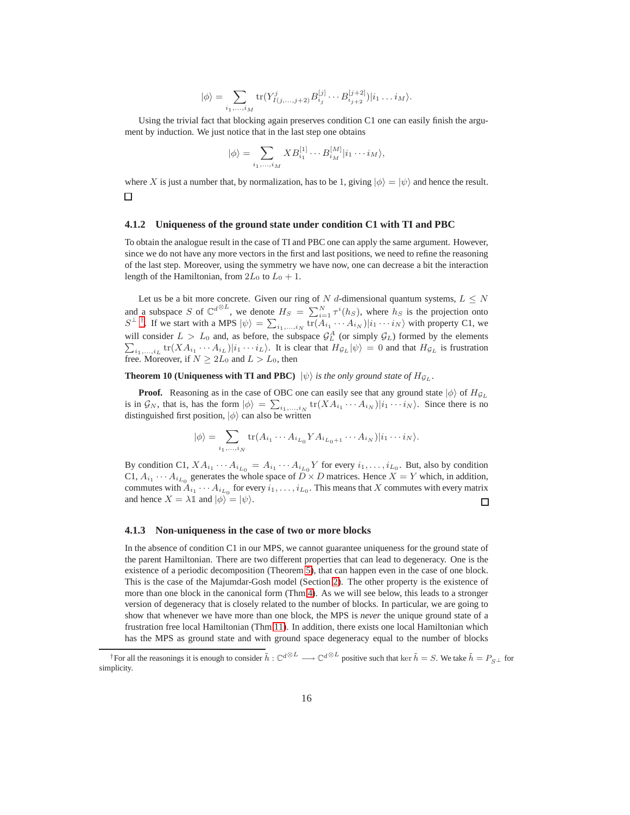$$
|\phi\rangle = \sum_{i_1,\dots,i_M} \text{tr}(Y^j_{I(j,\dots,j+2)} B^{[j]}_{i_j} \cdots B^{[j+2]}_{i_{j+2}})|i_1 \dots i_M\rangle.
$$

Using the trivial fact that blocking again preserves condition C1 one can easily finish the argument by induction. We just notice that in the last step one obtains

$$
|\phi\rangle = \sum_{i_1,\dots,i_M} X B_{i_1}^{[1]} \cdots B_{i_M}^{[M]} |i_1 \cdots i_M\rangle,
$$

where X is just a number that, by normalization, has to be 1, giving  $|\phi\rangle = |\psi\rangle$  and hence the result.  $\Box$ 

#### <span id="page-15-0"></span>**4.1.2 Uniqueness of the ground state under condition C1 with TI and PBC**

To obtain the analogue result in the case of TI and PBC one can apply the same argument. However, since we do not have any more vectors in the first and last positions, we need to refine the reasoning of the last step. Moreover, using the symmetry we have now, one can decrease a bit the interaction length of the Hamiltonian, from  $2L_0$  to  $L_0 + 1$ .

Let us be a bit more concrete. Given our ring of N d-dimensional quantum systems,  $L \leq N$ and a subspace S of  $\mathbb{C}^{d\otimes L}$ , we denote  $H_S = \sum_{i=1}^N \tau^i(h_S)$ , where  $h_S$  is the projection onto  $S^{\perp \dagger}$ . If we start with a MPS  $|\psi\rangle = \sum_{i_1,\dots,i_N} tr(A_{i_1} \cdots A_{i_N}) |i_1 \cdots i_N\rangle$  with property C1, we will consider  $L > L_0$  and, as before, the subspace  $\mathcal{G}_L^A$ will consider  $L > L_0$  and, as before, the subspace  $\mathcal{G}_L^A$  (or simply  $\mathcal{G}_L$ ) formed by the elements  $\sum_{i_1,\dots,i_L}$  tr( $XA_{i_1} \cdots A_{i_L}$ )| $i_1 \cdots i_L$ ). It is clear that  $H_{\mathcal{G}_L} |\psi\rangle = 0$  and that  $H_{\mathcal{G}_L}$  is fru free. Moreover, if  $N \geq 2L_0$  and  $L > L_0$ , then

<span id="page-15-3"></span>**Theorem 10 (Uniqueness with TI and PBC)**  $|\psi\rangle$  *is the only ground state of*  $H_{\mathcal{G}_L}$ .

**Proof.** Reasoning as in the case of OBC one can easily see that any ground state  $|\phi\rangle$  of  $H_{\mathcal{G}_L}$ is in  $\mathcal{G}_N$ , that is, has the form  $|\phi\rangle = \sum_{i_1,\dots,i_N} tr(XA_{i_1} \cdots A_{i_N})|i_1 \cdots i_N\rangle$ . Since there is no distinguished first position,  $|\phi\rangle$  can also be written

$$
|\phi\rangle = \sum_{i_1,\dots,i_N} \text{tr}(A_{i_1}\cdots A_{i_{L_0}}YA_{i_{L_0+1}}\cdots A_{i_N})|i_1\cdots i_N\rangle.
$$

By condition C1,  $XA_{i_1} \cdots A_{i_{L_0}} = A_{i_1} \cdots A_{i_{L_0}} Y$  for every  $i_1, \ldots, i_{L_0}$ . But, also by condition C1,  $A_{i_1} \cdots A_{i_{L_0}}$  generates the whole space of  $D \times D$  matrices. Hence  $X = Y$  which, in addition, commutes with  $A_{i_1} \cdots A_{i_{L_0}}$  for every  $i_1, \ldots, i_{L_0}$ . This means that X commutes with every matrix and hence  $X = \lambda \mathbb{1}$  and  $|\phi\rangle = |\psi\rangle$ .  $\Box$ 

#### <span id="page-15-1"></span>**4.1.3 Non-uniqueness in the case of two or more blocks**

In the absence of condition C1 in our MPS, we cannot guarantee uniqueness for the ground state of the parent Hamiltonian. There are two different properties that can lead to degeneracy. One is the existence of a periodic decomposition (Theorem [5\)](#page-9-0), that can happen even in the case of one block. This is the case of the Majumdar-Gosh model (Section [2\)](#page-2-0). The other property is the existence of more than one block in the canonical form (Thm[.4\)](#page-8-2). As we will see below, this leads to a stronger version of degeneracy that is closely related to the number of blocks. In particular, we are going to show that whenever we have more than one block, the MPS is *never* the unique ground state of a frustration free local Hamiltonian (Thm [11\)](#page-17-1). In addition, there exists one local Hamiltonian which has the MPS as ground state and with ground space degeneracy equal to the number of blocks

<span id="page-15-2"></span><sup>&</sup>lt;sup>†</sup>For all the reasonings it is enough to consider  $\tilde{h}: \mathbb{C}^{d\otimes L} \longrightarrow \mathbb{C}^{d\otimes L}$  positive such that ker  $\tilde{h} = S$ . We take  $\tilde{h} = P_{S\perp}$  for simplicity.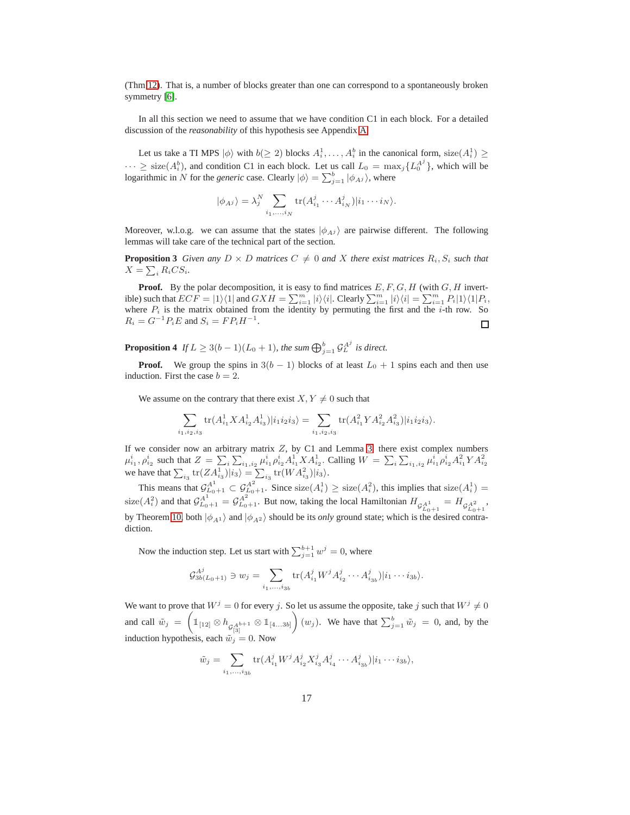(Thm [12\)](#page-17-2). That is, a number of blocks greater than one can correspond to a spontaneously broken symmetry [\[6\]](#page-24-6).

In all this section we need to assume that we have condition C1 in each block. For a detailed discussion of the *reasonability* of this hypothesis see Appendix [A.](#page-25-0)

Let us take a TI MPS  $|\phi\rangle$  with  $b(\geq 2)$  blocks  $A_i^1, \ldots, A_i^b$  in the canonical form, size $(A_i^1) \geq$  $\cdots \geq$  size( $A_i^b$ ), and condition C1 in each block. Let us call  $L_0 = \max_j \{L_0^{A_j}\}\$ , which will be logarithmic in N for the *generic* case. Clearly  $|\phi\rangle = \sum_{j=1}^{b} |\phi_{Ai}\rangle$ , where

$$
|\phi_{A,j}\rangle = \lambda_j^N \sum_{i_1,\dots,i_N} \text{tr}(A_{i_1}^j \cdots A_{i_N}^j)|i_1\cdots i_N\rangle.
$$

<span id="page-16-0"></span>Moreover, w.l.o.g. we can assume that the states  $|\phi_{A,i}\rangle$  are pairwise different. The following lemmas will take care of the technical part of the section.

**Proposition 3** Given any  $D \times D$  matrices  $C \neq 0$  and X there exist matrices  $R_i$ ,  $S_i$  such that  $X = \sum_i R_i CS_i.$ 

**Proof.** By the polar decomposition, it is easy to find matrices  $E, F, G, H$  (with  $G, H$  invertible) such that  $ECF = |1\rangle\langle 1|$  and  $GXH = \sum_{i=1}^{m} |i\rangle\langle i|$ . Clearly  $\sum_{i=1}^{m} |i\rangle\langle i| = \sum_{i=1}^{m} P_i |1\rangle\langle 1| P_i$ , where  $P_i$  is the matrix obtained from the identity by permuting the first and the *i*-th row. So  $R_i = G^{-1} P_i E$  and  $S_i = F P_i H^{-1}$ .  $\Box$ 

<span id="page-16-1"></span>**Proposition 4** If  $L \geq 3(b-1)(L_0+1)$ , the sum  $\bigoplus_{j=1}^b \mathcal{G}_L^{A^j}$  is direct.

**Proof.** We group the spins in  $3(b - 1)$  blocks of at least  $L_0 + 1$  spins each and then use induction. First the case  $b = 2$ .

We assume on the contrary that there exist  $X, Y \neq 0$  such that

$$
\sum_{i_1,i_2,i_3} \text{tr}(A_{i_1}^1 X A_{i_2}^1 A_{i_3}^1) |i_1 i_2 i_3\rangle = \sum_{i_1,i_2,i_3} \text{tr}(A_{i_1}^2 Y A_{i_2}^2 A_{i_3}^2) |i_1 i_2 i_3\rangle.
$$

If we consider now an arbitrary matrix  $Z$ , by C1 and Lemma [3,](#page-16-0) there exist complex numbers  $\mu_{i_1}^i, \rho_{i_2}^i$  such that  $Z = \sum_i \sum_{i_1, i_2} \mu_{i_1}^i \rho_{i_2}^i A_{i_1}^1 X A_{i_2}^1$ . Calling  $W = \sum_i \sum_{i_1, i_2} \mu_{i_1}^i \rho_{i_2}^i A_{i_1}^2 Y A_{i_2}^2$ <br>we have that  $\sum_{i_3} \text{tr}(ZA_{i_3}^1)|i_3\rangle = \sum_{i_3} \text{tr}(WA_{i_3}^2)|i_3\rangle$ .

This means that  $\mathcal{G}_{L_0+1}^{A^1} \subset \mathcal{G}_{L_0+1}^{A^2}$ . Since size( $A_i^1$ )  $\geq$  size( $A_i^2$ ), this implies that size( $A_i^1$ ) = size( $A_i^2$ ) and that  $\mathcal{G}_{L_0+1}^{A^1} = \mathcal{G}_{L_0+1}^{A^2}$ . But now, taking the local Hamiltonian  $H_{\mathcal{G}_{L_0+1}^{A^1}} = H_{\mathcal{G}_{L_0+1}^{A^2}}$ , by Theorem [10,](#page-15-3) both  $|\phi_{A1}\rangle$  and  $|\phi_{A2}\rangle$  should be its *only* ground state; which is the desired contradiction.

Now the induction step. Let us start with  $\sum_{j=1}^{b+1} w^j = 0$ , where

$$
\mathcal{G}_{3b(L_0+1)}^{A^j} \ni w_j = \sum_{i_1,\dots,i_{3b}} \text{tr}(A_{i_1}^j W^j A_{i_2}^j \cdots A_{i_{3b}}^j) | i_1 \cdots i_{3b} \rangle.
$$

We want to prove that  $W^j = 0$  for every j. So let us assume the opposite, take j such that  $W^j \neq 0$ and call  $\tilde{w}_j = \left( \mathbb{1}_{[12]} \otimes h_{\mathcal{G}_{[3]}^{Ab+1}} \otimes \mathbb{1}_{[4...3b]} \right)$  $(w_j)$ . We have that  $\sum_{j=1}^b \tilde{w}_j = 0$ , and, by the induction hypothesis, each  $\tilde{w}_i = 0$ . Now

$$
\tilde{w}_j = \sum_{i_1, \dots, i_{3b}} \text{tr}(A_{i_1}^j W^j A_{i_2}^j X_{i_3}^j A_{i_4}^j \cdots A_{i_{3b}}^j) | i_1 \cdots i_{3b} \rangle,
$$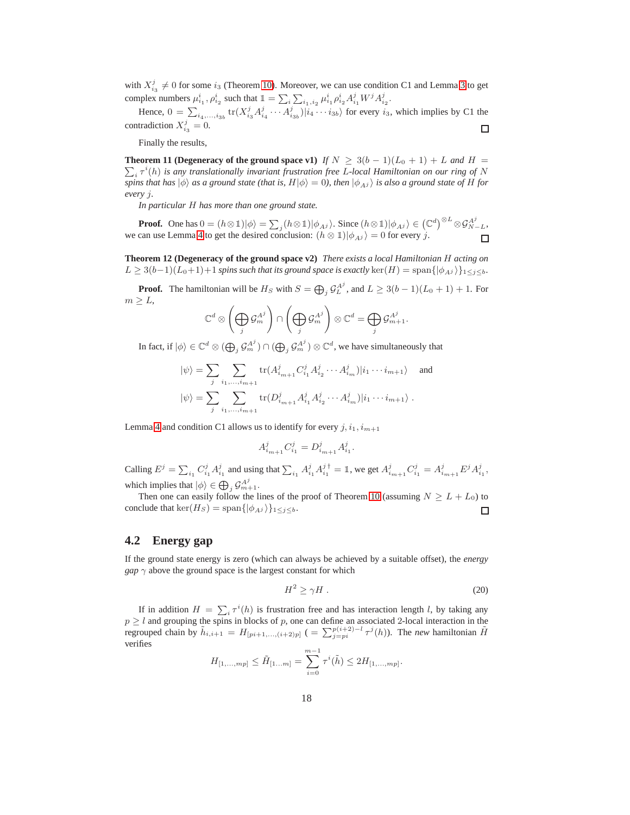with  $X_{i_3}^j \neq 0$  for some  $i_3$  (Theorem [10\)](#page-15-3). Moreover, we can use condition C1 and Lemma [3](#page-16-0) to get complex numbers  $\mu_{i_1}^i$ ,  $\rho_{i_2}^i$  such that  $\mathbb{1} = \sum_i \sum_{i_1, i_2} \mu_{i_1}^i \rho_{i_2}^i A_{i_1}^j W^j A_{i_2}^j$ .

Hence,  $0 = \sum_{i_4,\dots,i_{3b}} tr(X_{i_3}^j A_{i_4}^j \cdots A_{i_{3b}}^j)|i_4 \cdots i_{3b}\rangle$  for every  $i_3$ , which implies by C1 the contradiction  $X_{i_3}^j = 0$ .  $\Box$ 

Finally the results,

<span id="page-17-1"></span>**Theorem 11 (Degeneracy of the ground space v1)** *If*  $N \geq 3(b-1)(L_0+1) + L$  *and*  $H =$  $\sum_i \tau^i(h)$  is any translationally invariant frustration free L-local Hamiltonian on our ring of N *spins that has*  $|\phi\rangle$  *as a ground state (that is, H* $|\phi\rangle = 0$ ), *then*  $|\phi_{Aj}\rangle$  *is also a ground state of H for every* j*.*

*In particular* H *has more than one ground state.*

**Proof.** One has  $0 = (h \otimes \mathbb{1}) | \phi \rangle = \sum_j (h \otimes \mathbb{1}) | \phi_{A^j} \rangle$ . Since  $(h \otimes \mathbb{1}) | \phi_{A^j} \rangle \in (\mathbb{C}^d)^{\otimes L} \otimes \mathcal{G}_{N-L}^{A^j}$ , we can use Lemma [4](#page-16-1) to get the desired conclusion:  $(h \otimes 1)|\phi_{A}i\rangle = 0$  for every j.  $\Box$ 

<span id="page-17-2"></span>**Theorem 12 (Degeneracy of the ground space v2)** *There exists a local Hamiltonian* H *acting on*  $L \geq 3(b-1)(L_0+1)+1$  *spins such that its ground space is exactly* ker $(H) =$  span $\{|\phi_{Ai}\rangle\}_{1\leq j\leq b}$ *.* 

**Proof.** The hamiltonian will be  $H_S$  with  $S = \bigoplus_j \mathcal{G}_L^{A^j}$ , and  $L \geq 3(b-1)(L_0+1) + 1$ . For  $m \geq L$ ,

$$
\mathbb{C}^d \otimes \left(\bigoplus_j \mathcal{G}_m^{A^j}\right) \cap \left(\bigoplus_j \mathcal{G}_m^{A^j}\right) \otimes \mathbb{C}^d = \bigoplus_j \mathcal{G}_{m+1}^{A^j}.
$$

In fact, if  $|\phi\rangle \in \mathbb{C}^d \otimes (\bigoplus_j \mathcal{G}_m^{A^j}) \cap (\bigoplus_j \mathcal{G}_m^{A^j}) \otimes \mathbb{C}^d$ , we have simultaneously that

$$
|\psi\rangle = \sum_{j} \sum_{i_1, ..., i_{m+1}} \text{tr}(A_{i_{m+1}}^j C_{i_1}^j A_{i_2}^j \cdots A_{i_m}^j) |i_1 \cdots i_{m+1}\rangle \text{ and}
$$
  

$$
|\psi\rangle = \sum_{j} \sum_{i_1, ..., i_{m+1}} \text{tr}(D_{i_{m+1}}^j A_{i_1}^j A_{i_2}^j \cdots A_{i_m}^j) |i_1 \cdots i_{m+1}\rangle .
$$

Lemma [4](#page-16-1) and condition C1 allows us to identify for every  $j, i_1, i_{m+1}$ 

$$
A^j_{i_{m+1}}C^j_{i_1}=D^j_{i_{m+1}}A^j_{i_1}.
$$

Calling  $E^j = \sum_{i_1} C_{i_1}^j A_{i_1}^j$  and using that  $\sum_{i_1} A_{i_1}^j A_{i_1}^{j \dagger} = \mathbb{I}$ , we get  $A_{i_{m+1}}^j C_{i_1}^j = A_{i_{m+1}}^j E^j A_{i_1}^j$ , which implies that  $|\phi\rangle \in \bigoplus_j \mathcal{G}_{m+1}^{A^j}$ .

Then one can easily follow the lines of the proof of Theorem [10](#page-15-3) (assuming  $N \geq L + L_0$ ) to conclude that ker( $H_S$ ) = span $\{|\phi_{Aj}\rangle\}_{1\leq j\leq b}$ . 口

#### <span id="page-17-0"></span>**4.2 Energy gap**

If the ground state energy is zero (which can always be achieved by a suitable offset), the *energy gap*  $\gamma$  above the ground space is the largest constant for which

$$
H^2 \ge \gamma H \tag{20}
$$

If in addition  $H = \sum_i \tau^i(h)$  is frustration free and has interaction length l, by taking any  $p \geq l$  and grouping the spins in blocks of p, one can define an associated 2-local interaction in the regrouped chain by  $\tilde{h}_{i,i+1} = H_{[pi+1,...,(i+2)p]}$  ( $= \sum_{j=pi}^{p(i+2)-l} \tau^{j}(h)$ ). The *new* hamiltonian  $\tilde{H}$ verifies

$$
H_{[1,...,mp]} \leq \tilde{H}_{[1...m]} = \sum_{i=0}^{m-1} \tau^{i}(\tilde{h}) \leq 2H_{[1,...,mp]}.
$$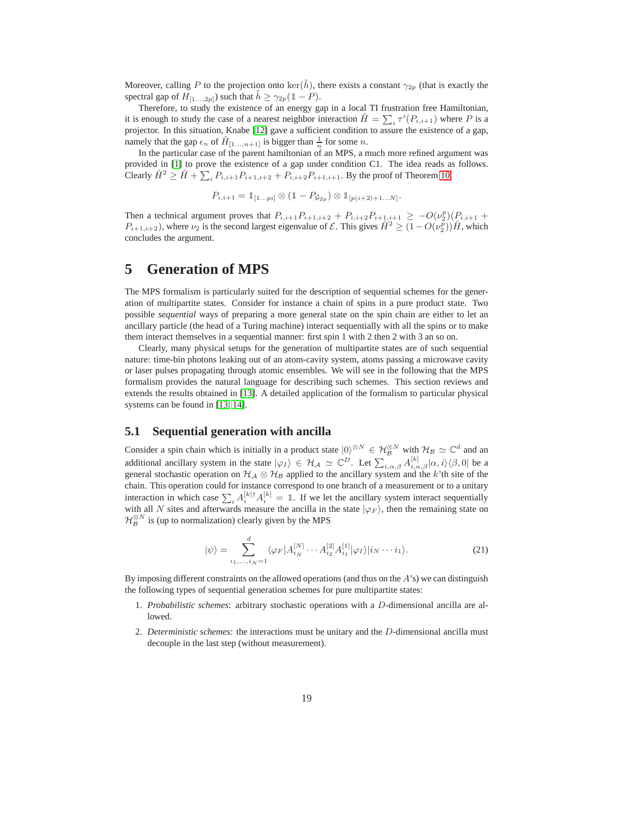Moreover, calling P to the projection onto ker( $\tilde{h}$ ), there exists a constant  $\gamma_{2p}$  (that is exactly the spectral gap of  $H_{[1...,2p]}$ ) such that  $\tilde{h} \geq \gamma_{2p}(\mathbb{1} - P)$ .

Therefore, to study the existence of an energy gap in a local TI frustration free Hamiltonian, it is enough to study the case of a nearest neighbor interaction  $\hat{H} = \sum_i \tau^i(P_{i,i+1})$  where P is a projector. In this situation, Knabe [\[12\]](#page-24-11) gave a sufficient condition to assure the existence of a gap, namely that the gap  $\epsilon_n$  of  $\hat{H}_{[1...,n+1]}$  is bigger than  $\frac{1}{n}$  for some n.

In the particular case of the parent hamiltonian of an MPS, a much more refined argument was provided in [\[1\]](#page-24-0) to prove the existence of a gap under condition C1. The idea reads as follows. Clearly  $\hat{H}^2 \ge \hat{H} + \sum_i P_{i,i+1} P_{i+1,i+2} + P_{i,i+2} P_{i+1,i+1}$ . By the proof of Theorem [10,](#page-15-3)

$$
P_{i,i+1} = \mathbb{1}_{[1...p_i]} \otimes (\mathbb{1} - P_{\mathcal{G}_{2p}}) \otimes \mathbb{1}_{[p(i+2)+1...N]}.
$$

Then a technical argument proves that  $P_{i,i+1}P_{i+1,i+2} + P_{i,i+2}P_{i+1,i+1} \geq -O(\nu_2^p)(P_{i,i+1} + P_{i+1,i+2})$  $P_{i+1,i+2}$ ), where  $\nu_2$  is the second largest eigenvalue of  $\mathcal{E}$ . This gives  $\hat{H}^2 \ge (1 - O(\nu_2^{\bar{p}}))\hat{H}$ , which concludes the argument.

# <span id="page-18-0"></span>**5 Generation of MPS**

The MPS formalism is particularly suited for the description of sequential schemes for the generation of multipartite states. Consider for instance a chain of spins in a pure product state. Two possible *sequential* ways of preparing a more general state on the spin chain are either to let an ancillary particle (the head of a Turing machine) interact sequentially with all the spins or to make them interact themselves in a sequential manner: first spin 1 with 2 then 2 with 3 an so on.

Clearly, many physical setups for the generation of multipartite states are of such sequential nature: time-bin photons leaking out of an atom-cavity system, atoms passing a microwave cavity or laser pulses propagating through atomic ensembles. We will see in the following that the MPS formalism provides the natural language for describing such schemes. This section reviews and extends the results obtained in [\[13\]](#page-24-12). A detailed application of the formalism to particular physical systems can be found in [\[13,](#page-24-12) [14\]](#page-24-13).

### <span id="page-18-1"></span>**5.1 Sequential generation with ancilla**

Consider a spin chain which is initially in a product state  $|0\rangle^{\otimes N} \in \mathcal{H}_{\mathcal{B}}^{\otimes N}$  with  $\mathcal{H}_{\mathcal{B}} \simeq \mathbb{C}^d$  and an additional ancillary system in the state  $|\varphi_I\rangle \in \mathcal{H}_{\mathcal{A}} \simeq \mathbb{C}^D$ . Let  $\sum_{i,\alpha,\beta} A_{i,\alpha,\beta}^{[k]}|\alpha,i\rangle\langle\beta,0|$  be a general stochastic operation on  $H_A \otimes H_B$  applied to the ancillary system and the k'th site of the chain. This operation could for instance correspond to one branch of a measurement or to a unitary interaction in which case  $\sum_i A_i^{[k]\dagger} A_i^{[k]} = \mathbb{1}$ . If we let the ancillary system interact sequentially with all N sites and afterwards measure the ancilla in the state  $|\varphi_F\rangle$ , then the remaining state on  $\mathcal{H}_{\mathcal{B}}^{\otimes N}$  is (up to normalization) clearly given by the MPS

$$
|\psi\rangle = \sum_{i_1,\dots,i_N=1}^d \langle \varphi_F | A_{i_N}^{[N]} \cdots A_{i_2}^{[2]} A_{i_1}^{[1]} | \varphi_I \rangle | i_N \cdots i_1 \rangle.
$$
 (21)

By imposing different constraints on the allowed operations (and thus on the A's) we can distinguish the following types of sequential generation schemes for pure multipartite states:

- 1. *Probabilistic schemes*: arbitrary stochastic operations with a D-dimensional ancilla are allowed.
- 2. *Deterministic schemes*: the interactions must be unitary and the D-dimensional ancilla must decouple in the last step (without measurement).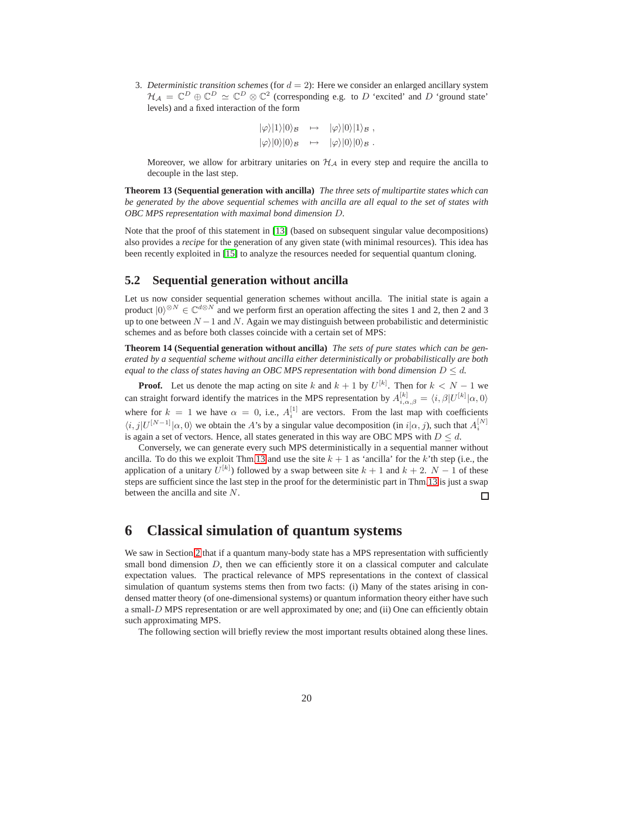3. *Deterministic transition schemes* (for  $d = 2$ ): Here we consider an enlarged ancillary system  $\mathcal{H}_{\mathcal{A}} = \mathbb{C}^D \oplus \mathbb{C}^D \simeq \mathbb{C}^D \otimes \mathbb{C}^2$  (corresponding e.g. to D 'excited' and D 'ground state' levels) and a fixed interaction of the form

$$
|\varphi\rangle|1\rangle|0\rangle_{\mathcal{B}} \rightarrow |\varphi\rangle|0\rangle|1\rangle_{\mathcal{B}},
$$
  

$$
|\varphi\rangle|0\rangle|0\rangle_{\mathcal{B}} \rightarrow |\varphi\rangle|0\rangle|0\rangle_{\mathcal{B}}.
$$

Moreover, we allow for arbitrary unitaries on  $H_A$  in every step and require the ancilla to decouple in the last step.

<span id="page-19-2"></span>**Theorem 13 (Sequential generation with ancilla)** *The three sets of multipartite states which can be generated by the above sequential schemes with ancilla are all equal to the set of states with OBC MPS representation with maximal bond dimension* D*.*

Note that the proof of this statement in [\[13\]](#page-24-12) (based on subsequent singular value decompositions) also provides a *recipe* for the generation of any given state (with minimal resources). This idea has been recently exploited in [\[15\]](#page-24-14) to analyze the resources needed for sequential quantum cloning.

## <span id="page-19-0"></span>**5.2 Sequential generation without ancilla**

Let us now consider sequential generation schemes without ancilla. The initial state is again a product  $|0\rangle^{\otimes N} \in \mathbb{C}^{d\otimes N}$  and we perform first an operation affecting the sites 1 and 2, then 2 and 3 up to one between  $N-1$  and N. Again we may distinguish between probabilistic and deterministic schemes and as before both classes coincide with a certain set of MPS:

**Theorem 14 (Sequential generation without ancilla)** *The sets of pure states which can be generated by a sequential scheme without ancilla either deterministically or probabilistically are both equal to the class of states having an OBC MPS representation with bond dimension*  $D \le d$ *.* 

**Proof.** Let us denote the map acting on site k and  $k + 1$  by  $U^{[k]}$ . Then for  $k < N - 1$  we can straight forward identify the matrices in the MPS representation by  $A_{i,\alpha,\beta}^{[k]} = \langle i, \beta | U^{[k]} | \alpha, 0 \rangle$ where for  $k = 1$  we have  $\alpha = 0$ , i.e.,  $A_i^{[1]}$  are vectors. From the last map with coefficients  $\langle i, j | U^{[N-1]} | \alpha, 0 \rangle$  we obtain the A's by a singular value decomposition (in  $i | \alpha, j$ ), such that  $A_i^{[N]}$ is again a set of vectors. Hence, all states generated in this way are OBC MPS with  $D \leq d$ .

Conversely, we can generate every such MPS deterministically in a sequential manner without ancilla. To do this we exploit Thm[.13](#page-19-2) and use the site  $k + 1$  as 'ancilla' for the k'th step (i.e., the application of a unitary  $U^{[k]}$ ) followed by a swap between site  $k + 1$  and  $k + 2$ .  $N - 1$  of these steps are sufficient since the last step in the proof for the deterministic part in Thm[.13](#page-19-2) is just a swap between the ancilla and site N. 口

# <span id="page-19-1"></span>**6 Classical simulation of quantum systems**

We saw in Section [2](#page-2-0) that if a quantum many-body state has a MPS representation with sufficiently small bond dimension  $D$ , then we can efficiently store it on a classical computer and calculate expectation values. The practical relevance of MPS representations in the context of classical simulation of quantum systems stems then from two facts: (i) Many of the states arising in condensed matter theory (of one-dimensional systems) or quantum information theory either have such a small-D MPS representation or are well approximated by one; and (ii) One can efficiently obtain such approximating MPS.

The following section will briefly review the most important results obtained along these lines.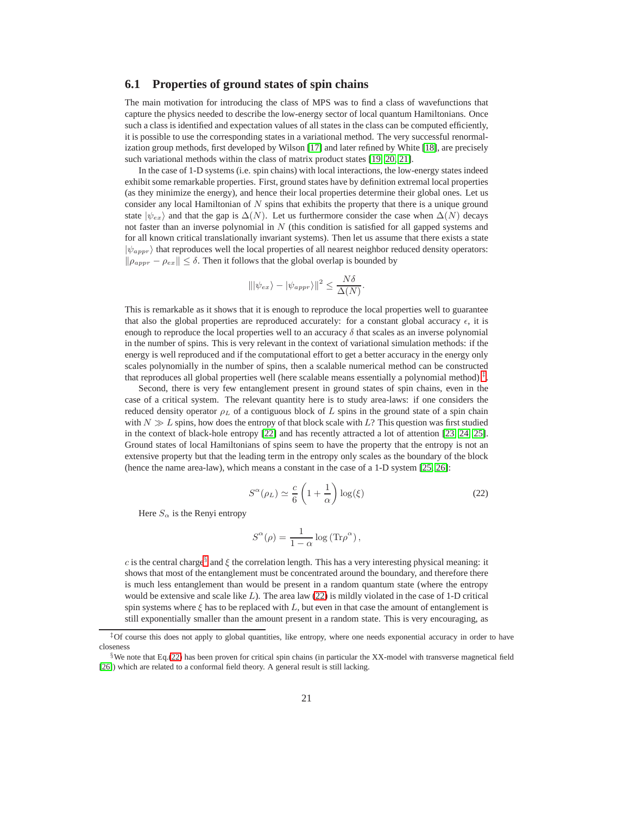### <span id="page-20-0"></span>**6.1 Properties of ground states of spin chains**

The main motivation for introducing the class of MPS was to find a class of wavefunctions that capture the physics needed to describe the low-energy sector of local quantum Hamiltonians. Once such a class is identified and expectation values of all states in the class can be computed efficiently, it is possible to use the corresponding states in a variational method. The very successful renormalization group methods, first developed by Wilson [\[17\]](#page-24-15) and later refined by White [\[18\]](#page-24-16), are precisely such variational methods within the class of matrix product states [\[19,](#page-24-17) [20,](#page-25-2) [21\]](#page-25-3).

In the case of 1-D systems (i.e. spin chains) with local interactions, the low-energy states indeed exhibit some remarkable properties. First, ground states have by definition extremal local properties (as they minimize the energy), and hence their local properties determine their global ones. Let us consider any local Hamiltonian of  $N$  spins that exhibits the property that there is a unique ground state  $|\psi_{ex}\rangle$  and that the gap is  $\Delta(N)$ . Let us furthermore consider the case when  $\Delta(N)$  decays not faster than an inverse polynomial in  $N$  (this condition is satisfied for all gapped systems and for all known critical translationally invariant systems). Then let us assume that there exists a state  $|\psi_{appr}\rangle$  that reproduces well the local properties of all nearest neighbor reduced density operators:  $\|\rho_{appr} - \rho_{ex}\| \le \delta$ . Then it follows that the global overlap is bounded by

$$
\|\psi_{ex}\rangle - |\psi_{appr}\rangle\|^2 \le \frac{N\delta}{\Delta(N)}.
$$

This is remarkable as it shows that it is enough to reproduce the local properties well to guarantee that also the global properties are reproduced accurately: for a constant global accuracy  $\epsilon$ , it is enough to reproduce the local properties well to an accuracy  $\delta$  that scales as an inverse polynomial in the number of spins. This is very relevant in the context of variational simulation methods: if the energy is well reproduced and if the computational effort to get a better accuracy in the energy only scales polynomially in the number of spins, then a scalable numerical method can be constructed that reproduces all global properties well (here scalable means essentially a polynomial method)<sup> $\ddagger$ </sup>.

Second, there is very few entanglement present in ground states of spin chains, even in the case of a critical system. The relevant quantity here is to study area-laws: if one considers the reduced density operator  $\rho_L$  of a contiguous block of L spins in the ground state of a spin chain with  $N \gg L$  spins, how does the entropy of that block scale with L? This question was first studied in the context of black-hole entropy [\[22\]](#page-25-4) and has recently attracted a lot of attention [\[23,](#page-25-5) [24,](#page-25-1) [25\]](#page-25-6). Ground states of local Hamiltonians of spins seem to have the property that the entropy is not an extensive property but that the leading term in the entropy only scales as the boundary of the block (hence the name area-law), which means a constant in the case of a 1-D system [\[25,](#page-25-6) [26\]](#page-25-7):

<span id="page-20-3"></span>
$$
S^{\alpha}(\rho_L) \simeq \frac{c}{6} \left( 1 + \frac{1}{\alpha} \right) \log(\xi)
$$
 (22)

Here  $S_{\alpha}$  is the Renyi entropy

$$
S^{\alpha}(\rho) = \frac{1}{1-\alpha} \log \left( \text{Tr} \rho^{\alpha} \right),
$$

c is the central charge<sup>[§](#page-20-2)</sup> and  $\xi$  the correlation length. This has a very interesting physical meaning: it shows that most of the entanglement must be concentrated around the boundary, and therefore there is much less entanglement than would be present in a random quantum state (where the entropy would be extensive and scale like  $L$ ). The area law  $(22)$  is mildly violated in the case of 1-D critical spin systems where  $\xi$  has to be replaced with L, but even in that case the amount of entanglement is still exponentially smaller than the amount present in a random state. This is very encouraging, as

<span id="page-20-1"></span> $\pm$  Of course this does not apply to global quantities, like entropy, where one needs exponential accuracy in order to have closeness

<span id="page-20-2"></span> $\S$ We note that Eq.[\(22\)](#page-20-3) has been proven for critical spin chains (in particular the XX-model with transverse magnetical field [\[26\]](#page-25-7)) which are related to a conformal field theory. A general result is still lacking.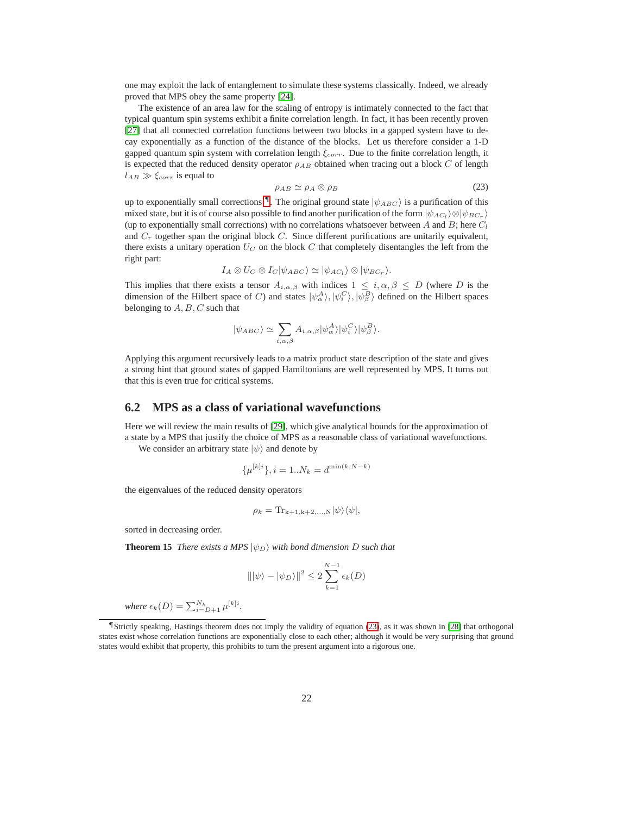one may exploit the lack of entanglement to simulate these systems classically. Indeed, we already proved that MPS obey the same property [\[24\]](#page-25-1).

The existence of an area law for the scaling of entropy is intimately connected to the fact that typical quantum spin systems exhibit a finite correlation length. In fact, it has been recently proven [\[27\]](#page-25-8) that all connected correlation functions between two blocks in a gapped system have to decay exponentially as a function of the distance of the blocks. Let us therefore consider a 1-D gapped quantum spin system with correlation length  $\xi_{corr}$ . Due to the finite correlation length, it is expected that the reduced density operator  $\rho_{AB}$  obtained when tracing out a block C of length  $l_{AB} \gg \xi_{corr}$  is equal to

<span id="page-21-2"></span>
$$
\rho_{AB} \simeq \rho_A \otimes \rho_B \tag{23}
$$

up to exponentially small corrections  $\P$ . The original ground state  $|\psi_{ABC}\rangle$  is a purification of this mixed state, but it is of course also possible to find another purification of the form  $|\psi_{AC_l}\rangle \otimes |\psi_{BC_r}\rangle$ (up to exponentially small corrections) with no correlations whatsoever between A and B; here  $C_l$ and  $C_r$  together span the original block C. Since different purifications are unitarily equivalent, there exists a unitary operation  $U_C$  on the block C that completely disentangles the left from the right part:

$$
I_A \otimes U_C \otimes I_C |\psi_{ABC}\rangle \simeq |\psi_{AC_l}\rangle \otimes |\psi_{BC_r}\rangle.
$$

This implies that there exists a tensor  $A_{i,\alpha,\beta}$  with indices  $1 \leq i,\alpha,\beta \leq D$  (where D is the dimension of the Hilbert space of C) and states  $|\psi_{\alpha}^{A}\rangle, |\psi_{i}^{C}\rangle, |\psi_{\beta}^{B}\rangle$  defined on the Hilbert spaces belonging to  $A, B, C$  such that

$$
|\psi_{ABC}\rangle \simeq \sum_{i,\alpha,\beta} A_{i,\alpha,\beta} |\psi_{\alpha}^{A}\rangle |\psi_{i}^{C}\rangle |\psi_{\beta}^{B}\rangle.
$$

Applying this argument recursively leads to a matrix product state description of the state and gives a strong hint that ground states of gapped Hamiltonians are well represented by MPS. It turns out that this is even true for critical systems.

## <span id="page-21-0"></span>**6.2 MPS as a class of variational wavefunctions**

Here we will review the main results of [\[29\]](#page-25-9), which give analytical bounds for the approximation of a state by a MPS that justify the choice of MPS as a reasonable class of variational wavefunctions.

We consider an arbitrary state  $|\psi\rangle$  and denote by

$$
\{\mu^{[k]i}\}, i = 1..N_k = d^{\min(k, N-k)}
$$

the eigenvalues of the reduced density operators

$$
\rho_k = \mathrm{Tr}_{k+1,k+2,\ldots,N} |\psi\rangle\langle\psi|,
$$

sorted in decreasing order.

**Theorem 15** *There exists a MPS*  $|\psi_D\rangle$  *with bond dimension D such that* 

$$
\|\psi\rangle - \psi_D\rangle\|^2 \le 2 \sum_{k=1}^{N-1} \epsilon_k(D)
$$

*where*  $\epsilon_k(D) = \sum_{i=D+1}^{N_k} \mu^{[k]i}$ .

<span id="page-21-1"></span><sup>¶</sup>Strictly speaking, Hastings theorem does not imply the validity of equation [\(23\)](#page-21-2), as it was shown in [\[28\]](#page-25-10) that orthogonal states exist whose correlation functions are exponentially close to each other; although it would be very surprising that ground states would exhibit that property, this prohibits to turn the present argument into a rigorous one.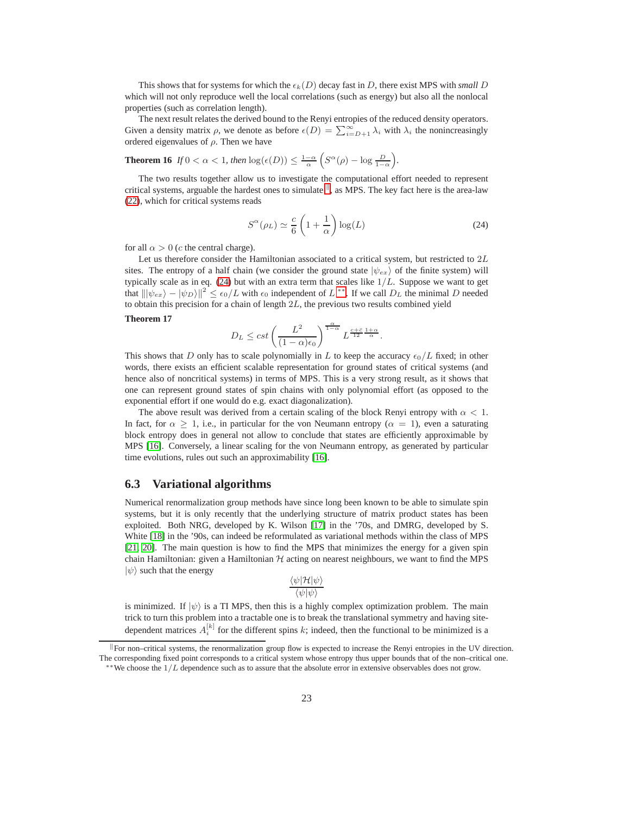This shows that for systems for which the  $\epsilon_k(D)$  decay fast in D, there exist MPS with *small* D which will not only reproduce well the local correlations (such as energy) but also all the nonlocal properties (such as correlation length).

The next result relates the derived bound to the Renyi entropies of the reduced density operators. Given a density matrix  $\rho$ , we denote as before  $\epsilon(D) = \sum_{i=D+1}^{\infty} \lambda_i$  with  $\lambda_i$  the nonincreasingly ordered eigenvalues of  $\rho$ . Then we have

**Theorem 16** *If*  $0 < \alpha < 1$ *, then*  $\log(\epsilon(D)) \leq \frac{1-\alpha}{\alpha} \left( S^{\alpha}(\rho) - \log \frac{D}{1-\alpha} \right)$ *.* 

The two results together allow us to investigate the computational effort needed to represent critical systems, arguable the hardest ones to simulate  $\mathbb{I}$ , as MPS. The [k](#page-22-1)ey fact here is the area-law [\(22\)](#page-20-3), which for critical systems reads

<span id="page-22-2"></span>
$$
S^{\alpha}(\rho_L) \simeq \frac{c}{6} \left( 1 + \frac{1}{\alpha} \right) \log(L) \tag{24}
$$

for all  $\alpha > 0$  (c the central charge).

Let us therefore consider the Hamiltonian associated to a critical system, but restricted to  $2L$ sites. The entropy of a half chain (we consider the ground state  $|\psi_{ex}\rangle$  of the finite system) will typically scale as in eq. [\(24\)](#page-22-2) but with an extra term that scales like  $1/L$ . Suppose we want to get that  $\|\psi_{ex}\rangle - |\psi_D\rangle\|^2 \le \epsilon_0/L$  with  $\epsilon_0$  independent of  $L^{**}$ . If we call  $D_L$  the minimal  $D$  needed to obtain this precision for a chain of length  $2L$ , the previous two results combined yield

#### **Theorem 17**

$$
D_L \leq cst \left(\frac{L^2}{(1-\alpha)\epsilon_0}\right)^{\frac{\alpha}{1-\alpha}}L^{\frac{c+\bar{c}}{12}\frac{1+\alpha}{\alpha}}.
$$

This shows that D only has to scale polynomially in L to keep the accuracy  $\epsilon_0/L$  fixed; in other words, there exists an efficient scalable representation for ground states of critical systems (and hence also of noncritical systems) in terms of MPS. This is a very strong result, as it shows that one can represent ground states of spin chains with only polynomial effort (as opposed to the exponential effort if one would do e.g. exact diagonalization).

The above result was derived from a certain scaling of the block Renyi entropy with  $\alpha$  < 1. In fact, for  $\alpha \geq 1$ , i.e., in particular for the von Neumann entropy ( $\alpha = 1$ ), even a saturating block entropy does in general not allow to conclude that states are efficiently approximable by MPS [\[16\]](#page-24-18). Conversely, a linear scaling for the von Neumann entropy, as generated by particular time evolutions, rules out such an approximability [\[16\]](#page-24-18).

### <span id="page-22-0"></span>**6.3 Variational algorithms**

Numerical renormalization group methods have since long been known to be able to simulate spin systems, but it is only recently that the underlying structure of matrix product states has been exploited. Both NRG, developed by K. Wilson [\[17\]](#page-24-15) in the '70s, and DMRG, developed by S. White [\[18\]](#page-24-16) in the '90s, can indeed be reformulated as variational methods within the class of MPS [\[21,](#page-25-3) [20\]](#page-25-2). The main question is how to find the MPS that minimizes the energy for a given spin chain Hamiltonian: given a Hamiltonian  $H$  acting on nearest neighbours, we want to find the MPS  $|\psi\rangle$  such that the energy

$$
\frac{\langle\psi|\mathcal{H}|\psi\rangle}{\langle\psi|\psi\rangle}
$$

is minimized. If  $|\psi\rangle$  is a TI MPS, then this is a highly complex optimization problem. The main trick to turn this problem into a tractable one is to break the translational symmetry and having sitedependent matrices  $A_i^{[k]}$  for the different spins k; indeed, then the functional to be minimized is a

For non–critical systems, the renormalization group flow is expected to increase the Renyi entropies in the UV direction. The corresponding fixed point corresponds to a critical system whose entropy thus upper bounds that of the non–critical one.

<span id="page-22-3"></span><span id="page-22-1"></span> $*$ We choose the  $1/L$  dependence such as to assure that the absolute error in extensive observables does not grow.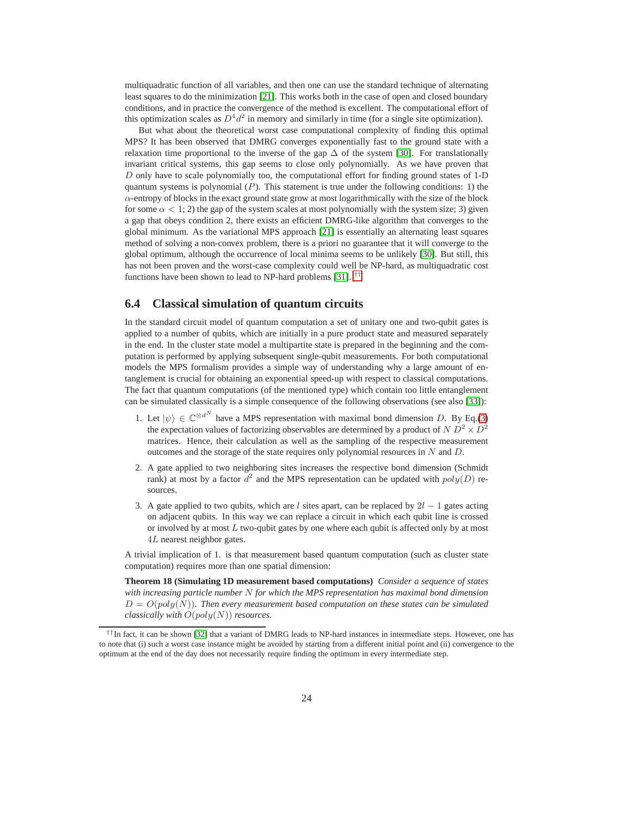multiquadratic function of all variables, and then one can use the standard technique of alternating least squares to do the minimization [\[21\]](#page-25-3). This works both in the case of open and closed boundary conditions, and in practice the convergence of the method is excellent. The computational effort of this optimization scales as  $D^4 d^2$  in memory and similarly in time (for a single site optimization).

But what about the theoretical worst case computational complexity of finding this optimal MPS? It has been observed that DMRG converges exponentially fast to the ground state with a relaxation time proportional to the inverse of the gap  $\Delta$  of the system [\[30\]](#page-25-11). For translationally invariant critical systems, this gap seems to close only polynomially. As we have proven that D only have to scale polynomially too, the computational effort for finding ground states of 1-D quantum systems is polynomial  $(P)$ . This statement is true under the following conditions: 1) the  $\alpha$ -entropy of blocks in the exact ground state grow at most logarithmically with the size of the block for some  $\alpha < 1$ ; 2) the gap of the system scales at most polynomially with the system size; 3) given a gap that obeys condition 2, there exists an efficient DMRG-like algorithm that converges to the global minimum. As the variational MPS approach [\[21\]](#page-25-3) is essentially an alternating least squares method of solving a non-convex problem, there is a priori no guarantee that it will converge to the global optimum, although the occurrence of local minima seems to be unlikely [\[30\]](#page-25-11). But still, this has not been proven and the worst-case complexity could well be NP-hard, as multiquadratic cost functions have been shown to lead to NP-hard problems [\[31\]](#page-25-12). [††](#page-23-1)

### <span id="page-23-0"></span>**6.4 Classical simulation of quantum circuits**

In the standard circuit model of quantum computation a set of unitary one and two-qubit gates is applied to a number of qubits, which are initially in a pure product state and measured separately in the end. In the cluster state model a multipartite state is prepared in the beginning and the computation is performed by applying subsequent single-qubit measurements. For both computational models the MPS formalism provides a simple way of understanding why a large amount of entanglement is crucial for obtaining an exponential speed-up with respect to classical computations. The fact that quantum computations (of the mentioned type) which contain too little entanglement can be simulated classically is a simple consequence of the following observations (see also [\[33\]](#page-25-13)):

- 1. Let  $|\psi\rangle \in \mathbb{C}^{\otimes d^N}$  have a MPS representation with maximal bond dimension D. By Eq.[\(3\)](#page-2-3) the expectation values of factorizing observables are determined by a product of  $N D^2 \times D^2$ matrices. Hence, their calculation as well as the sampling of the respective measurement outcomes and the storage of the state requires only polynomial resources in N and D.
- 2. A gate applied to two neighboring sites increases the respective bond dimension (Schmidt rank) at most by a factor  $d^2$  and the MPS representation can be updated with  $poly(D)$  resources.
- 3. A gate applied to two qubits, which are l sites apart, can be replaced by  $2l 1$  gates acting on adjacent qubits. In this way we can replace a circuit in which each qubit line is crossed or involved by at most  $L$  two-qubit gates by one where each qubit is affected only by at most 4L nearest neighbor gates.

A trivial implication of 1. is that measurement based quantum computation (such as cluster state computation) requires more than one spatial dimension:

**Theorem 18 (Simulating 1D measurement based computations)** *Consider a sequence of states with increasing particle number* N *for which the MPS representation has maximal bond dimension*  $D = O(poly(N))$ *. Then every measurement based computation on these states can be simulated classically with* O(poly(N)) *resources.*

<span id="page-23-1"></span><sup>††</sup>In fact, it can be shown [\[32\]](#page-25-14) that a variant of DMRG leads to NP-hard instances in intermediate steps. However, one has to note that (i) such a worst case instance might be avoided by starting from a different initial point and (ii) convergence to the optimum at the end of the day does not necessarily require finding the optimum in every intermediate step.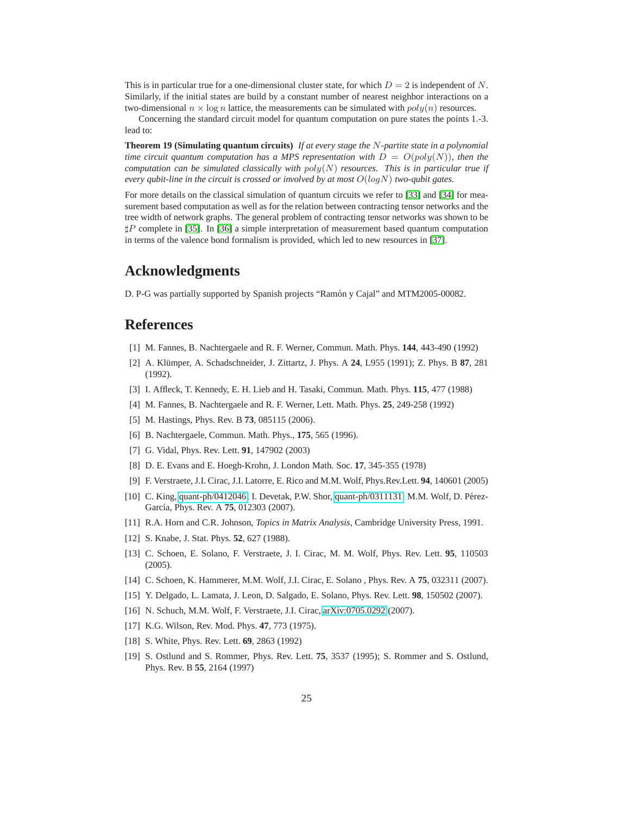This is in particular true for a one-dimensional cluster state, for which  $D = 2$  is independent of N. Similarly, if the initial states are build by a constant number of nearest neighbor interactions on a two-dimensional  $n \times \log n$  lattice, the measurements can be simulated with  $poly(n)$  resources.

Concerning the standard circuit model for quantum computation on pure states the points 1.-3. lead to:

**Theorem 19 (Simulating quantum circuits)** *If at every stage the* N*-partite state in a polynomial time circuit quantum computation has a MPS representation with*  $D = O(poly(N))$ *, then the computation can be simulated classically with* poly(N) *resources. This is in particular true if every qubit-line in the circuit is crossed or involved by at most* O(logN) *two-qubit gates.*

For more details on the classical simulation of quantum circuits we refer to [\[33\]](#page-25-13) and [\[34\]](#page-25-15) for measurement based computation as well as for the relation between contracting tensor networks and the tree width of network graphs. The general problem of contracting tensor networks was shown to be ♯P complete in [\[35\]](#page-25-16). In [\[36\]](#page-25-17) a simple interpretation of measurement based quantum computation in terms of the valence bond formalism is provided, which led to new resources in [\[37\]](#page-25-18).

# **Acknowledgments**

D. P-G was partially supported by Spanish projects "Ramón y Cajal" and MTM2005-00082.

# <span id="page-24-0"></span>**References**

- <span id="page-24-1"></span>[1] M. Fannes, B. Nachtergaele and R. F. Werner, Commun. Math. Phys. **144**, 443-490 (1992)
- [2] A. Kl¨umper, A. Schadschneider, J. Zittartz, J. Phys. A **24**, L955 (1991); Z. Phys. B **87**, 281 (1992).
- <span id="page-24-4"></span><span id="page-24-3"></span>[3] I. Affleck, T. Kennedy, E. H. Lieb and H. Tasaki, Commun. Math. Phys. **115**, 477 (1988)
- <span id="page-24-5"></span>[4] M. Fannes, B. Nachtergaele and R. F. Werner, Lett. Math. Phys. **25**, 249-258 (1992)
- <span id="page-24-6"></span>[5] M. Hastings, Phys. Rev. B **73**, 085115 (2006).
- <span id="page-24-2"></span>[6] B. Nachtergaele, Commun. Math. Phys., **175**, 565 (1996).
- <span id="page-24-7"></span>[7] G. Vidal, Phys. Rev. Lett. **91**, 147902 (2003)
- <span id="page-24-8"></span>[8] D. E. Evans and E. Hoegh-Krohn, J. London Math. Soc. **17**, 345-355 (1978)
- [9] F. Verstraete, J.I. Cirac, J.I. Latorre, E. Rico and M.M. Wolf, Phys.Rev.Lett. **94**, 140601 (2005)
- <span id="page-24-9"></span>[10] C. King, [quant-ph/0412046;](http://arXiv.org/abs/quant-ph/0412046) I. Devetak, P.W. Shor, [quant-ph/0311131;](http://arXiv.org/abs/quant-ph/0311131) M.M. Wolf, D. Pérez-García, Phys. Rev. A **75**, 012303 (2007).
- <span id="page-24-11"></span><span id="page-24-10"></span>[11] R.A. Horn and C.R. Johnson, *Topics in Matrix Analysis*, Cambridge University Press, 1991.
- <span id="page-24-12"></span>[12] S. Knabe, J. Stat. Phys. **52**, 627 (1988).
- [13] C. Schoen, E. Solano, F. Verstraete, J. I. Cirac, M. M. Wolf, Phys. Rev. Lett. **95**, 110503 (2005).
- <span id="page-24-14"></span><span id="page-24-13"></span>[14] C. Schoen, K. Hammerer, M.M. Wolf, J.I. Cirac, E. Solano , Phys. Rev. A **75**, 032311 (2007).
- <span id="page-24-18"></span>[15] Y. Delgado, L. Lamata, J. Leon, D. Salgado, E. Solano, Phys. Rev. Lett. **98**, 150502 (2007).
- <span id="page-24-15"></span>[16] N. Schuch, M.M. Wolf, F. Verstraete, J.I. Cirac, [arXiv:0705.0292](http://arXiv.org/abs/0705.0292) (2007).
- <span id="page-24-16"></span>[17] K.G. Wilson, Rev. Mod. Phys. **47**, 773 (1975).
- <span id="page-24-17"></span>[18] S. White, Phys. Rev. Lett. **69**, 2863 (1992)
- [19] S. Ostlund and S. Rommer, Phys. Rev. Lett. **75**, 3537 (1995); S. Rommer and S. Ostlund, Phys. Rev. B **55**, 2164 (1997)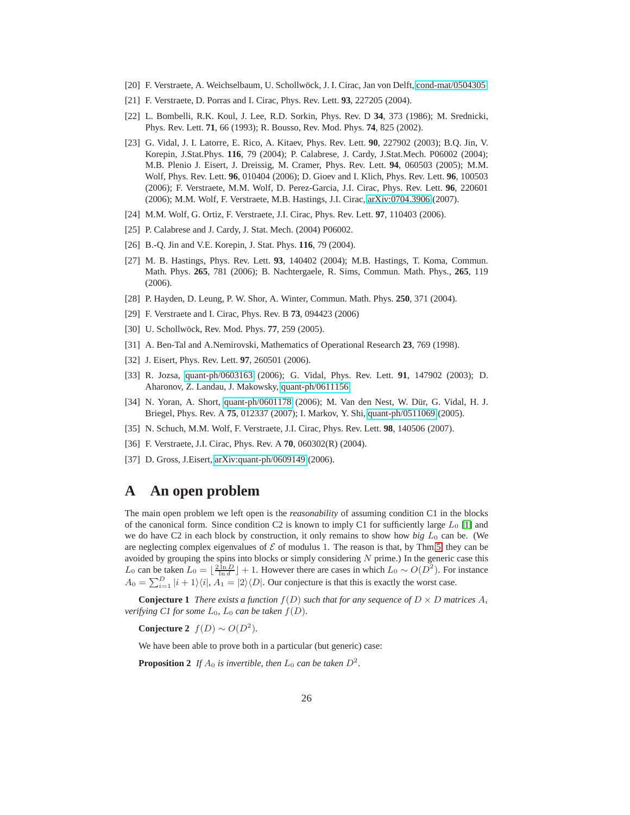- <span id="page-25-3"></span><span id="page-25-2"></span>[20] F. Verstraete, A. Weichselbaum, U. Schollwöck, J. I. Cirac, Jan von Delft, [cond-mat/0504305.](http://arXiv.org/abs/cond-mat/0504305)
- <span id="page-25-4"></span>[21] F. Verstraete, D. Porras and I. Cirac, Phys. Rev. Lett. **93**, 227205 (2004).
- <span id="page-25-5"></span>[22] L. Bombelli, R.K. Koul, J. Lee, R.D. Sorkin, Phys. Rev. D **34**, 373 (1986); M. Srednicki, Phys. Rev. Lett. **71**, 66 (1993); R. Bousso, Rev. Mod. Phys. **74**, 825 (2002).
- [23] G. Vidal, J. I. Latorre, E. Rico, A. Kitaev, Phys. Rev. Lett. **90**, 227902 (2003); B.Q. Jin, V. Korepin, J.Stat.Phys. **116**, 79 (2004); P. Calabrese, J. Cardy, J.Stat.Mech. P06002 (2004); M.B. Plenio J. Eisert, J. Dreissig, M. Cramer, Phys. Rev. Lett. **94**, 060503 (2005); M.M. Wolf, Phys. Rev. Lett. **96**, 010404 (2006); D. Gioev and I. Klich, Phys. Rev. Lett. **96**, 100503 (2006); F. Verstraete, M.M. Wolf, D. Perez-Garcia, J.I. Cirac, Phys. Rev. Lett. **96**, 220601 (2006); M.M. Wolf, F. Verstraete, M.B. Hastings, J.I. Cirac, [arXiv:0704.3906](http://arXiv.org/abs/0704.3906) (2007).
- <span id="page-25-6"></span><span id="page-25-1"></span>[24] M.M. Wolf, G. Ortiz, F. Verstraete, J.I. Cirac, Phys. Rev. Lett. **97**, 110403 (2006).
- <span id="page-25-7"></span>[25] P. Calabrese and J. Cardy, J. Stat. Mech. (2004) P06002.
- <span id="page-25-8"></span>[26] B.-Q. Jin and V.E. Korepin, J. Stat. Phys. **116**, 79 (2004).
- [27] M. B. Hastings, Phys. Rev. Lett. **93**, 140402 (2004); M.B. Hastings, T. Koma, Commun. Math. Phys. **265**, 781 (2006); B. Nachtergaele, R. Sims, Commun. Math. Phys., **265**, 119 (2006).
- <span id="page-25-10"></span><span id="page-25-9"></span>[28] P. Hayden, D. Leung, P. W. Shor, A. Winter, Commun. Math. Phys. **250**, 371 (2004).
- <span id="page-25-11"></span>[29] F. Verstraete and I. Cirac, Phys. Rev. B **73**, 094423 (2006)
- <span id="page-25-12"></span>[30] U. Schollwöck, Rev. Mod. Phys. **77**, 259 (2005).
- <span id="page-25-14"></span>[31] A. Ben-Tal and A.Nemirovski, Mathematics of Operational Research **23**, 769 (1998).
- <span id="page-25-13"></span>[32] J. Eisert, Phys. Rev. Lett. **97**, 260501 (2006).
- [33] R. Jozsa, [quant-ph/0603163](http://arXiv.org/abs/quant-ph/0603163) (2006); G. Vidal, Phys. Rev. Lett. **91**, 147902 (2003); D. Aharonov, Z. Landau, J. Makowsky, [quant-ph/0611156.](http://arXiv.org/abs/quant-ph/0611156)
- <span id="page-25-15"></span>[34] N. Yoran, A. Short, [quant-ph/0601178](http://arXiv.org/abs/quant-ph/0601178) (2006); M. Van den Nest, W. Dür, G. Vidal, H. J. Briegel, Phys. Rev. A **75**, 012337 (2007); I. Markov, Y. Shi, [quant-ph/0511069](http://arXiv.org/abs/quant-ph/0511069) (2005).
- <span id="page-25-17"></span><span id="page-25-16"></span>[35] N. Schuch, M.M. Wolf, F. Verstraete, J.I. Cirac, Phys. Rev. Lett. **98**, 140506 (2007).
- <span id="page-25-18"></span>[36] F. Verstraete, J.I. Cirac, Phys. Rev. A **70**, 060302(R) (2004).
- <span id="page-25-0"></span>[37] D. Gross, J. Eisert, [arXiv:quant-ph/0609149](http://arXiv.org/abs/quant-ph/0609149) (2006).

# **A An open problem**

The main open problem we left open is the *reasonability* of assuming condition C1 in the blocks of the canonical form. Since condition C2 is known to imply C1 for sufficiently large  $L_0$  [\[1\]](#page-24-0) and we do have C2 in each block by construction, it only remains to show how *big*  $L_0$  can be. (We are neglecting complex eigenvalues of  $\mathcal E$  of modulus 1. The reason is that, by Thm[.5,](#page-9-0) they can be avoided by grouping the spins into blocks or simply considering  $N$  prime.) In the generic case this L<sub>0</sub> can be taken  $L_0 = \lfloor \frac{2 \ln D}{\ln d} \rfloor + 1$ . However there are cases in which  $L_0 \sim O(D^2)$ . For instance  $A_0 = \sum_{i=1}^{D} |i+1\rangle\langle i|, A_1 = |2\rangle\langle D|$ . Our conjecture is that this is exactly the worst case.

<span id="page-25-20"></span>**Conjecture 1** *There exists a function*  $f(D)$  *such that for any sequence of*  $D \times D$  *matrices*  $A_i$ *verifying C1 for some*  $L_0$ ,  $L_0$  *can be taken*  $f(D)$ *.* 

**Conjecture 2**  $f(D) \sim O(D^2)$ .

<span id="page-25-19"></span>We have been able to prove both in a particular (but generic) case:

**Proposition 2** If  $A_0$  is invertible, then  $L_0$  can be taken  $D^2$ .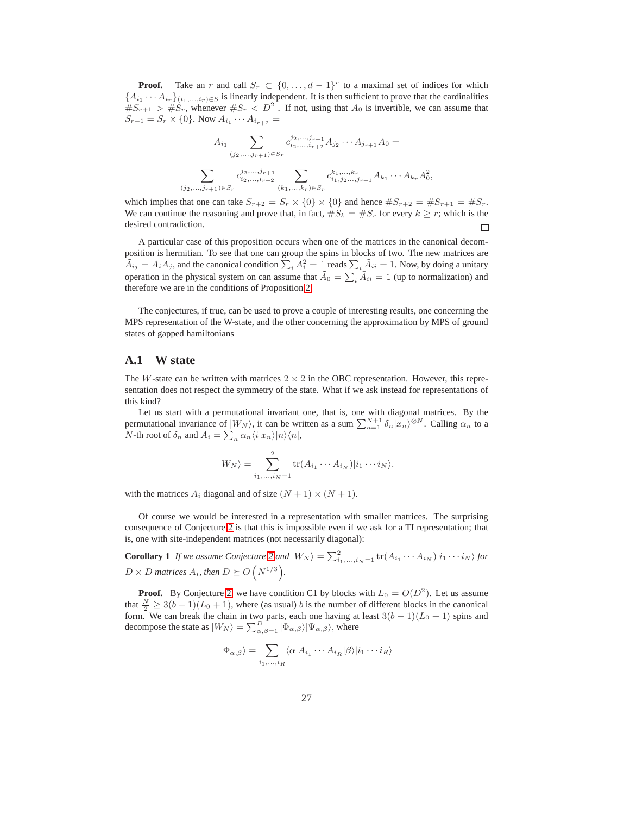**Proof.** Take an r and call  $S_r \subset \{0, \ldots, d-1\}^r$  to a maximal set of indices for which  ${A_{i_1} \cdots A_{i_r}}_{(i_1,\ldots,i_r)\in S}$  is linearly independent. It is then sufficient to prove that the cardinalities  $\#S_{r+1} > \#S_r$ , whenever  $\#S_r < D^2$ . If not, using that  $A_0$  is invertible, we can assume that  $S_{r+1} = S_r \times \{0\}$ . Now  $A_{i_1} \cdots A_{i_{r+2}} =$ 

$$
A_{i_1} \sum_{(j_2,\ldots,j_{r+1}) \in S_r} c_{i_2,\ldots,i_{r+2}}^{j_2,\ldots,j_{r+1}} A_{j_2} \cdots A_{j_{r+1}} A_0 =
$$
  

$$
\sum_{(j_2,\ldots,j_{r+1}) \in S_r} c_{i_2,\ldots,i_{r+2}}^{j_2,\ldots,j_{r+1}} \sum_{(k_1,\ldots,k_r) \in S_r} c_{i_1,j_2,\ldots,j_{r+1}}^{k_1,\ldots,k_r} A_{k_1} \cdots A_{k_r} A_0^2,
$$

which implies that one can take  $S_{r+2} = S_r \times \{0\} \times \{0\}$  and hence  $\#S_{r+2} = \#S_{r+1} = \#S_r$ . We can continue the reasoning and prove that, in fact,  $\#S_k = \#S_r$  for every  $k \geq r$ ; which is the desired contradiction.  $\Box$ 

A particular case of this proposition occurs when one of the matrices in the canonical decomposition is hermitian. To see that one can group the spins in blocks of two. The new matrices are  $\tilde{A}_{ij} = A_i A_j$ , and the canonical condition  $\sum_i A_i^2 = 1$  reads  $\sum_i \tilde{A}_{ii} = 1$ . Now, by doing a unitary operation in the physical system on can assume that  $\tilde{A}_0 = \sum_i \tilde{A}_{ii} = \mathbb{1}$  (up to normalization) and therefore we are in the conditions of Proposition [2.](#page-25-19)

The conjectures, if true, can be used to prove a couple of interesting results, one concerning the MPS representation of the W-state, and the other concerning the approximation by MPS of ground states of gapped hamiltonians

#### <span id="page-26-0"></span>**A.1 W state**

The W-state can be written with matrices  $2 \times 2$  in the OBC representation. However, this representation does not respect the symmetry of the state. What if we ask instead for representations of this kind?

Let us start with a permutational invariant one, that is, one with diagonal matrices. By the permutational invariance of  $|W_N\rangle$ , it can be written as a sum  $\sum_{n=1}^{N+1} \delta_n |x_n\rangle^{\otimes N}$ . Calling  $\alpha_n$  to a *N*-th root of  $\delta_n$  and  $A_i = \sum_n \alpha_n \langle i | x_n \rangle | n \rangle \langle n |$ ,

$$
|W_N\rangle = \sum_{i_1,\ldots,i_N=1}^2 \text{tr}(A_{i_1}\cdots A_{i_N})|i_1\cdots i_N\rangle.
$$

with the matrices  $A_i$  diagonal and of size  $(N + 1) \times (N + 1)$ .

Of course we would be interested in a representation with smaller matrices. The surprising consequence of Conjecture [2](#page-25-20) is that this is impossible even if we ask for a TI representation; that is, one with site-independent matrices (not necessarily diagonal):

**Corollary** 1 *If we assume Conjecture* [2](#page-25-20) *and*  $|W_N\rangle = \sum_{i_1,\dots,i_N=1}^{2} \text{tr}(A_{i_1} \cdots A_{i_N}) |i_1 \cdots i_N\rangle$  for  $D \times D$  matrices  $A_i$ , then  $D \succeq O(N^{1/3})$ .

**Proof.** By Conjecture [2,](#page-25-20) we have condition C1 by blocks with  $L_0 = O(D^2)$ . Let us assume that  $\frac{N}{2} \geq 3(b-1)(L_0+1)$ , where (as usual) b is the number of different blocks in the canonical form. We can break the chain in two parts, each one having at least  $3(b-1)(L_0+1)$  spins and decompose the state as  $|W_N\rangle = \sum_{\alpha,\beta=1}^D |\Phi_{\alpha,\beta}\rangle |\Psi_{\alpha,\beta}\rangle$ , where

$$
|\Phi_{\alpha,\beta}\rangle = \sum_{i_1,\dots,i_R} \langle \alpha | A_{i_1} \cdots A_{i_R} | \beta \rangle | i_1 \cdots i_R \rangle
$$